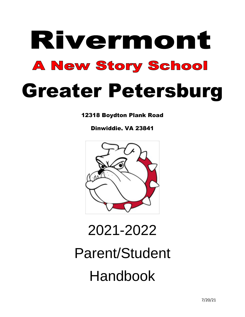# Rivermont **A New Story School** Greater Petersburg

12318 Boydton Plank Road

Dinwiddie, VA 23841



2021-2022

Parent/Student Handbook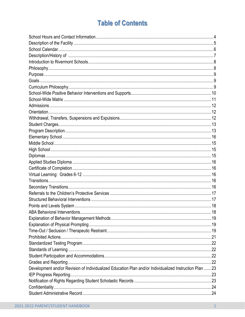# **Table of Contents**

| Description/History of measurements and announcement control of measurement and announcement of the Description |  |
|-----------------------------------------------------------------------------------------------------------------|--|
|                                                                                                                 |  |
|                                                                                                                 |  |
|                                                                                                                 |  |
|                                                                                                                 |  |
|                                                                                                                 |  |
|                                                                                                                 |  |
|                                                                                                                 |  |
|                                                                                                                 |  |
|                                                                                                                 |  |
|                                                                                                                 |  |
|                                                                                                                 |  |
|                                                                                                                 |  |
|                                                                                                                 |  |
|                                                                                                                 |  |
|                                                                                                                 |  |
|                                                                                                                 |  |
|                                                                                                                 |  |
|                                                                                                                 |  |
|                                                                                                                 |  |
|                                                                                                                 |  |
|                                                                                                                 |  |
|                                                                                                                 |  |
|                                                                                                                 |  |
|                                                                                                                 |  |
|                                                                                                                 |  |
|                                                                                                                 |  |
|                                                                                                                 |  |
|                                                                                                                 |  |
|                                                                                                                 |  |
|                                                                                                                 |  |
|                                                                                                                 |  |
|                                                                                                                 |  |
|                                                                                                                 |  |
| Development and/or Revision of Individualized Education Plan and/or Individualized Instruction Plan 23          |  |
|                                                                                                                 |  |
|                                                                                                                 |  |
|                                                                                                                 |  |
|                                                                                                                 |  |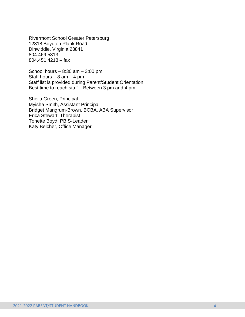Rivermont School Greater Petersburg 12318 Boydton Plank Road Dinwiddie, Virginia 23841 804.469.5313 804.451.4218 – fax

School hours  $-8:30$  am  $-3:00$  pm Staff hours  $-8$  am  $-4$  pm Staff list is provided during Parent/Student Orientation Best time to reach staff – Between 3 pm and 4 pm

Sheila Green, Principal Myisha Smith, Assistant Principal Bridget Mangrum-Brown, BCBA, ABA Supervisor Erica Stewart, Therapist Tonette Boyd, PBIS-Leader Katy Belcher, Office Manager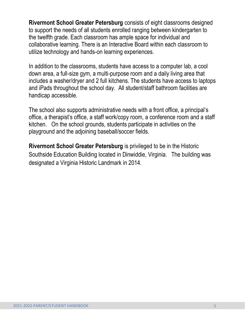**Rivermont School Greater Petersburg** consists of eight classrooms designed to support the needs of all students enrolled ranging between kindergarten to the twelfth grade. Each classroom has ample space for individual and collaborative learning. There is an Interactive Board within each classroom to utilize technology and hands-on learning experiences.

In addition to the classrooms, students have access to a computer lab, a cool down area, a full-size gym, a multi-purpose room and a daily living area that includes a washer/dryer and 2 full kitchens. The students have access to laptops and iPads throughout the school day. All student/staff bathroom facilities are handicap accessible.

The school also supports administrative needs with a front office, a principal's office, a therapist's office, a staff work/copy room, a conference room and a staff kitchen. On the school grounds, students participate in activities on the playground and the adjoining baseball/soccer fields.

**Rivermont School Greater Petersburg** is privileged to be in the Historic Southside Education Building located in Dinwiddie, Virginia. The building was designated a Virginia Historic Landmark in 2014.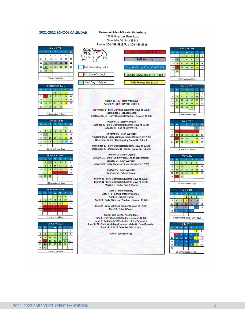#### 2021-2022 SCHOOL CALENDAR

**August 2021** M T W Th F  $\overline{2}$  $\overline{\phantom{a}3}$  $\overline{4}$  $5$  $1$  $6\overline{6}$  $\overline{7}$ 8 9 10 11 12 13 14 15 16 17 18 19 20 21 22 23 24 25 26 27 28 29 30 31 7 Instructional Days

| September 2021 |    |    |                  |                |    |    |  |
|----------------|----|----|------------------|----------------|----|----|--|
| Su             | M  |    | w                | Th             | Ë  | Sa |  |
|                |    |    | 1                | $\overline{2}$ | 3  | 4  |  |
| 5              |    |    | 8                | 9              | 10 | 11 |  |
| 12             | 13 | 14 | 15               | 16             | 17 | 18 |  |
| 19             | 20 | 21 | 22               | 2 <sub>3</sub> | 24 | 25 |  |
| 26             | 27 | 28 | 29               | 30             |    |    |  |
|                |    |    |                  |                |    |    |  |
|                |    |    | 21 Instructional | Days           |    |    |  |

| October 2021 |    |    |    |                       |    |                |  |
|--------------|----|----|----|-----------------------|----|----------------|--|
| Su           | M  |    | w  | Th                    | F  | Sa             |  |
|              |    |    |    |                       | 1  | $\overline{2}$ |  |
| 3            | 4  | 5  | 6  |                       | 8  | 9              |  |
| 10           | 11 | 12 | 13 | 14                    | 15 | 16             |  |
| 17           | 18 | 19 | 20 | 21                    | 22 | 23             |  |
| 24           | 25 | 26 | 27 | 28                    | 29 | 30             |  |
| 31           |    |    |    |                       |    |                |  |
|              |    |    |    | 20 Instructional Days |    |                |  |

|    |    |    |                         | November 2021                |    |    |
|----|----|----|-------------------------|------------------------------|----|----|
| Su | M  |    | w                       | Th                           |    | Sa |
|    | п  | 2  | $\overline{\mathbf{3}}$ | 4                            | 5  | 6  |
| 7  | 8  | 9  | 10                      | 11                           | 12 | 13 |
| 14 | 15 | 16 | 17                      | 18                           | 19 | 20 |
| 21 | 22 | 23 | ונים                    |                              | Æ  | 27 |
| 28 | 29 | 30 |                         |                              |    |    |
|    |    |    |                         |                              |    |    |
|    |    |    |                         | <b>18 Instructional Days</b> |    |    |

|    |    |    | 1  |                |    |    |
|----|----|----|----|----------------|----|----|
|    |    |    |    | $\overline{2}$ | 3  |    |
| 5  | 6  |    | 8  | 9              | 10 | 11 |
| 12 | 13 | 14 | 15 | 16             | 17 | 18 |
| 19 |    |    |    |                |    | 25 |
| 26 |    |    |    |                |    |    |

| Su             | M              |                | W  | Th | Ë  | Sa |
|----------------|----------------|----------------|----|----|----|----|
|                |                |                |    |    |    | 1  |
| $\overline{2}$ | $\overline{3}$ | $\overline{a}$ | 5  | 6  | 7  | 8  |
| 9              | 10             | 11             | 12 | 13 | 14 | 15 |
| 16             |                | 18             | 19 | 20 | 21 | 22 |
| 23             | 24             | 25             | 26 | 27 | 28 | 29 |
| 30             | 30             |                |    |    |    |    |

#### **Rivermont School-Greater Petersburg** 12318 Boydton Plank Road Dinwiddie, Virginia 23841 Phone: 804-469-5313/Fax: 804-469-5315



August 16 - 20 - Staff Workdays August 23 - FIRST DAY OF SCHOOL

September 3 - Early Dismissal (Students leave at 12:00) September 6 - School Closed Septemeber 24 - Early Dismissal (Students leave at 12:00)

October 11 - Staff Workday October 22 - Early Dismissal (Students leave at 12:00) October 29 - End of 1st 9 Weeks

November 2 - Staff Workday Novermber 23 - Early Dismissal (Students leave at 12:00) November 24-26 - Thanksgiving Break (No School)

December 17 - Early Dismissal (Students leave at 12:00) December 20 - December 31 - Winter Break (No School)

January 17- School Closed January 21 - End of 2nd 9 Weeks/End of 1st Semester January 24 - Staff Workday January 28 - Early Dismissal (Students leave at 12:00)

> February 7 - Staff Workday February 21- School Closed

March 25 - Early Dismissal (Students leave at 12:00) March 31 - Early Dismissal (Students leave at 12:00) March 31 - End of 3rd 9 Weeks

April 1 - Staff Workday April 4 - 8 - Spring Break (No School) April 18 - School Closed April 29 - Early Dismissal (Students leave at 12:00)

May 27 - Early Dismissal (Students leave at 12:00) May 30 - School Closed

June 8- Last Day for ALL Students June 8 - Early Dismissal (Students leave at 12:00) June 8 - End of 4th 9 Weeks/End of 2nd Semester June 9 - 22 - Staff Workdays/Proposed Make Up Days if needed June 24 - July 29 Extended School Year

July 4 - School Closed

| February 2022 |    |              |                |                         |    |    |  |  |  |
|---------------|----|--------------|----------------|-------------------------|----|----|--|--|--|
| Su            | M  |              | W              | Th                      | Ë  | Sa |  |  |  |
|               |    | $\mathbf{1}$ | $\overline{2}$ | $\overline{\mathbf{3}}$ | 4  | 5  |  |  |  |
| 6             |    | 8            | 9              | 10                      | 11 | 12 |  |  |  |
| 13            | 14 | 15           | 16             | 17                      | 18 | 19 |  |  |  |
| 20            | 21 | 22           | 23             | 24                      | 25 | 26 |  |  |  |
| 27            | 28 |              |                |                         |    |    |  |  |  |
|               |    |              |                |                         |    |    |  |  |  |
|               |    |              |                | 18 Instructional Days   |    |    |  |  |  |

|    |    |    | March 2021     |                       |                |    |
|----|----|----|----------------|-----------------------|----------------|----|
| Su | M  |    | w              | Th                    | F              | Sa |
|    |    | 1  | $\overline{a}$ | $\overline{3}$        | $\overline{4}$ | 5  |
| 6  | 7  | 8  | 9              | 10                    | 11             | 12 |
| 13 | 14 | 15 | 16             | 17                    | 18             | 19 |
| 20 | 21 | 22 | 23             | 24                    | 25             | 26 |
| 27 | 28 | 29 | 30             | 31                    |                |    |
|    |    |    |                | 23 Instructional Days |                |    |

| M  | w |                |                |                |                       |
|----|---|----------------|----------------|----------------|-----------------------|
|    |   |                | Th             |                | Sa                    |
|    |   |                |                |                | $\overline{2}$        |
|    |   |                |                |                | 9                     |
| 11 |   |                |                | 15             | 16                    |
|    |   |                |                | 22             | 23                    |
| 25 |   |                |                | 29             | 30                    |
|    |   |                |                |                |                       |
|    |   | 12<br>19<br>26 | 13<br>20<br>27 | 14<br>21<br>28 | 14 Instructional Days |

| <b>May 2022</b> |                |                         |    |                       |                 |                |  |  |
|-----------------|----------------|-------------------------|----|-----------------------|-----------------|----------------|--|--|
| Su              | M              |                         | w  | Th                    | F               | Sa             |  |  |
| $\mathbf 1$     | $\overline{2}$ | $\overline{\mathbf{3}}$ | 4  | 5                     | $6\phantom{1}6$ | $\overline{7}$ |  |  |
| 8               | 9              | 10                      | 11 | 12                    | 13              | 14             |  |  |
| 15              | 16             | 17                      | 18 | 19                    | 20              | 21             |  |  |
| 22              | 23             | 24                      | 25 | 26                    | 27              | 28             |  |  |
| 29              | 30             | 31                      |    |                       |                 |                |  |  |
|                 |                |                         |    |                       |                 |                |  |  |
|                 |                |                         |    | 21 Instructional Days |                 |                |  |  |

| <b>June 2022</b> |         |    |                         |                                   |                         |    |
|------------------|---------|----|-------------------------|-----------------------------------|-------------------------|----|
| Su               | M       |    | w                       | Th                                | F                       | Sa |
|                  |         |    | $\mathbf{1}$            | $\overline{2}$                    | $\overline{\mathbf{3}}$ | 4  |
| 5                | 6       |    | $\overline{\mathbf{8}}$ | 9                                 | 10                      | 11 |
| 12               | 13      | 14 | 15                      | 16                                | 17                      | 18 |
| 19               | 20      | 21 | 22                      | 23                                | 24                      | 25 |
| 26               | $_{27}$ | 28 | 29                      | 30                                |                         |    |
|                  |         |    |                         |                                   |                         |    |
|                  |         |    |                         | 6 Instructional Days / 5 ESY days |                         |    |
|                  |         |    |                         |                                   |                         |    |

| <b>July 2022</b> |                |    |    |                           |    |                |
|------------------|----------------|----|----|---------------------------|----|----------------|
| Su               | M              | т  | w  | Th                        | p  | Sa             |
|                  |                |    |    |                           | 1  | $\overline{2}$ |
| $\overline{3}$   | $\overline{a}$ | 5  | 6  | 7                         | 8  | 9              |
| 10               | 11             | 12 | 13 | 14                        | 15 | 16             |
| 17               | 18             | 19 | 20 | 21                        | 22 | 23             |
| 24               | 25             | 26 | 27 | 28                        | 29 | 30             |
| 31               |                |    |    |                           |    |                |
|                  |                |    |    | 20 ESY Instructional Days |    |                |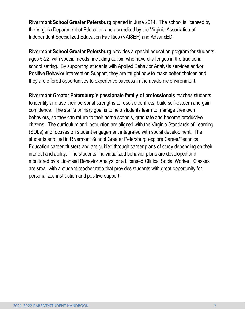**Rivermont School Greater Petersburg** opened in June 2014. The school is licensed by the Virginia Department of Education and accredited by the Virginia Association of Independent Specialized Education Facilities (VAISEF) and AdvancED.

**Rivermont School Greater Petersburg** provides a special education program for students, ages 5-22, with special needs, including autism who have challenges in the traditional school setting. By supporting students with Applied Behavior Analysis services and/or Positive Behavior Intervention Support, they are taught how to make better choices and they are offered opportunities to experience success in the academic environment.

**Rivermont Greater Petersburg's passionate family of professionals** teaches students to identify and use their personal strengths to resolve conflicts, build self-esteem and gain confidence. The staff's primary goal is to help students learn to manage their own behaviors, so they can return to their home schools, graduate and become productive citizens. The curriculum and instruction are aligned with the Virginia Standards of Learning (SOLs) and focuses on student engagement integrated with social development. The students enrolled in Rivermont School Greater Petersburg explore Career/Technical Education career clusters and are guided through career plans of study depending on their interest and ability. The students' individualized behavior plans are developed and monitored by a Licensed Behavior Analyst or a Licensed Clinical Social Worker. Classes are small with a student-teacher ratio that provides students with great opportunity for personalized instruction and positive support.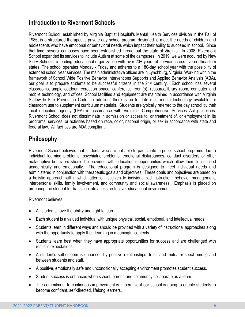# **Introduction to Rivermont Schools**

Rivermont School, established by Virginia Baptist Hospital's Mental Health Services division in the Fall of 1986, is a structured therapeutic private day school program designed to meet the needs of children and adolescents who have emotional or behavioral needs which impact their ability to succeed in school. Since that time, several campuses have been established throughout the state of Virginia. In 2008, Rivermont School expanded its services to include Autism at some of the campuses. In 2019, we were acquired by New Story Schools, a leading educational organization with over 20+ years of service across five northeastern states. The school operates Monday - Friday and adheres to a 180-day school year with the possibility of extended school year services. The main administrative offices are in Lynchburg, Virginia. Working within the framework of School Wide Positive Behavior Interventions Supports and Applied Behavior Analysis (ABA), our goal is to prepare students to be successful citizens in the  $21<sup>st</sup>$  century. Each school has several classrooms, ample outdoor recreation space, conference room(s), resource/library room, computer and mobile technology, and offices. School facilities and equipment are maintained in accordance with Virginia Statewide Fire Prevention Code. In addition, there is up to date multi-media technology available for classroom use to supplement curriculum materials. Students are typically referred to the day school by their local education agency (LEA) in accordance with Virginia's Comprehensive Services Act guidelines. Rivermont School does not discriminate in admission or access to, or treatment of, or employment in its programs, services, or activities based on race, color, national origin, or sex in accordance with state and federal law. All facilities are ADA compliant.

# **Philosophy**

Rivermont School believes that students who are not able to participate in public school programs due to individual learning problems, psychiatric problems, emotional disturbances, conduct disorders or other maladaptive behaviors should be provided with educational opportunities which allow them to succeed academically and emotionally. The educational program is designed to meet individual needs and administered in conjunction with therapeutic goals and objectives. These goals and objectives are based on a holistic approach within which attention is given to individualized instruction, behavior management, interpersonal skills, family involvement, and community and social awareness. Emphasis is placed on preparing the student for transition into a less restrictive educational environment.

Rivermont believes:

- All students have the ability and right to learn.
- Each student is a valued individual with unique physical, social, emotional, and intellectual needs.
- Students learn in different ways and should be provided with a variety of instructional approaches along with the opportunity to apply their learning in meaningful contexts.
- Students learn best when they have appropriate opportunities for success and are challenged with realistic expectations.
- A student's self-esteem is enhanced by positive relationships, trust, and mutual respect among and between students and staff.
- A positive, emotionally safe and unconditionally accepting environment promotes student success.
- Student success is enhanced when school, parent, and community collaborate as a team.
- The commitment to continuous improvement is imperative if our school is going to enable students to become confidant, self-directed, lifelong learners.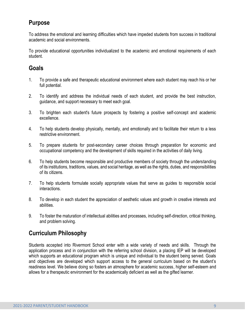# **Purpose**

To address the emotional and learning difficulties which have impeded students from success in traditional academic and social environments.

To provide educational opportunities individualized to the academic and emotional requirements of each student.

# **Goals**

- 1. To provide a safe and therapeutic educational environment where each student may reach his or her full potential.
- 2. To identify and address the individual needs of each student, and provide the best instruction, guidance, and support necessary to meet each goal.
- 3. To brighten each student's future prospects by fostering a positive self-concept and academic excellence.
- 4. To help students develop physically, mentally, and emotionally and to facilitate their return to a less restrictive environment.
- 5. To prepare students for post-secondary career choices through preparation for economic and occupational competency and the development of skills required in the activities of daily living.
- 6. To help students become responsible and productive members of society through the understanding of its institutions, traditions, values, and social heritage, as well as the rights, duties, and responsibilities of its citizens.
- 7. To help students formulate socially appropriate values that serve as guides to responsible social interactions.
- 8. To develop in each student the appreciation of aesthetic values and growth in creative interests and abilities.
- 9. To foster the maturation of intellectual abilities and processes, including self-direction, critical thinking, and problem solving.

# **Curriculum Philosophy**

Students accepted into Rivermont School enter with a wide variety of needs and skills. Through the application process and in conjunction with the referring school division, a placing IEP will be developed which supports an educational program which is unique and individual to the student being served. Goals and objectives are developed which support access to the general curriculum based on the student's readiness level. We believe doing so fosters an atmosphere for academic success, higher self-esteem and allows for a therapeutic environment for the academically deficient as well as the gifted learner.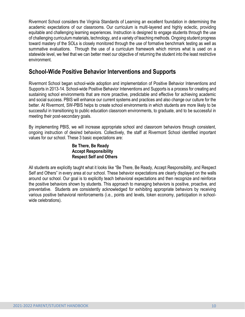Rivermont School considers the Virginia Standards of Learning an excellent foundation in determining the academic expectations of our classrooms. Our curriculum is multi-layered and highly eclectic, providing equitable and challenging learning experiences. Instruction is designed to engage students through the use of challenging curriculum materials, technology, and a variety of teaching methods. Ongoing student progress toward mastery of the SOLs is closely monitored through the use of formative benchmark testing as well as summative evaluations. Through the use of a curriculum framework which mirrors what is used on a statewide level, we feel that we can better meet our objective of returning the student into the least restrictive environment.

## **School-Wide Positive Behavior Interventions and Supports**

Rivermont School began school-wide adoption and implementation of Positive Behavior Interventions and Supports in 2013-14. School-wide Positive Behavior Interventions and Supports is a process for creating and sustaining school environments that are more proactive, predictable and effective for achieving academic and social success. PBIS will enhance our current systems and practices and also change our culture for the better. At Rivermont, SW-PBIS helps to create school environments in which students are more likely to be successful in transitioning to public education classroom environments, to graduate, and to be successful in meeting their post-secondary goals.

By implementing PBIS, we will increase appropriate school and classroom behaviors through consistent, ongoing instruction of desired behaviors. Collectively, the staff at Rivermont School identified important values for our school. These 3 basic expectations are:

#### **Be There, Be Ready Accept Responsibility Respect Self and Others**

All students are explicitly taught what it looks like "Be There, Be Ready, Accept Responsibility, and Respect Self and Others" in every area at our school. These behavior expectations are clearly displayed on the walls around our school. Our goal is to explicitly teach behavioral expectations and then recognize and reinforce the positive behaviors shown by students. This approach to managing behaviors is positive, proactive, and preventative. Students are consistently acknowledged for exhibiting appropriate behaviors by receiving various positive behavioral reinforcements (i.e., points and levels, token economy, participation in schoolwide celebrations).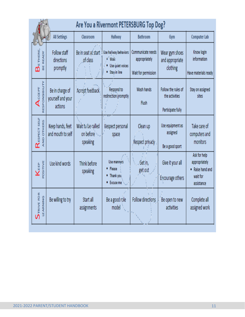|                                                                    | Are You a Rivermont PETERSBURG Top Dog?         |                                            |                                                                     |                                                           |                                                            |                                                                             |
|--------------------------------------------------------------------|-------------------------------------------------|--------------------------------------------|---------------------------------------------------------------------|-----------------------------------------------------------|------------------------------------------------------------|-----------------------------------------------------------------------------|
|                                                                    | <b>All Settings</b>                             | Classroom                                  | Hallway                                                             | Bathroom                                                  | Gym                                                        | Computer Lab                                                                |
| $\mathsf{B}_{\scriptscriptstyle{\mathsf{ETHERE}}}$<br>BE READY     | Follow staff<br>directions<br>promptly          | Be in seat at start<br>of class            | Use hallway behaviors<br>· Walk<br>Use quiet voices<br>Stay in line | Communicate needs<br>appropriately<br>Wait for permission | Wear gym shoes<br>and appropriate<br>clothing              | Know login<br>information<br>Have materials ready                           |
| RESPONSIBILITY<br>$\mathsf{A}_\mathtt{CCEPT}$                      | Be in charge of<br>yourself and your<br>actions | Accept feedback                            | Respond to<br>redirection promptly                                  | Wash hands<br>Flush                                       | Follow the rules of<br>the activities<br>Participate fully | Stay on assigned<br>sites                                                   |
| Respect seur<br>AND OTHERS                                         | Keep hands, feet<br>and mouth to self           | Wait to be called<br>on before<br>speaking | Respect personal<br>space                                           | Clean up<br>Respect privacy                               | Use equipment as<br>assigned<br>Be a good sport            | Take care of<br>computers and<br>monitors                                   |
| POSITIVE<br>KEEP                                                   | Use kind words                                  | Think before<br>speaking                   | Use manners<br>• Please<br>Thank you<br>٠<br>Excuse me<br>٠         | Get in,<br>get out                                        | Give it your all<br>Encourage others                       | Ask for help<br>appropriately<br>• Raise hand and<br>wait for<br>assistance |
| $\begin{array}{c}\displaystyle\sum_{\text{TRIVIE POR}}\end{array}$ | Be willing to try                               | Start all<br>assignments                   | Be a good role<br>model                                             | Follow directions                                         | Be open to new<br>activities                               | Complete all<br>assigned work                                               |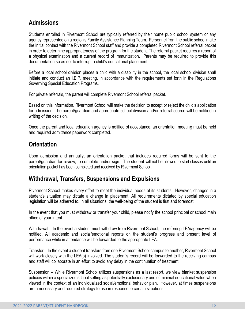## **Admissions**

Students enrolled in Rivermont School are typically referred by their home public school system or any agency represented on a region's Family Assistance Planning Team. Personnel from the public school make the initial contact with the Rivermont School staff and provide a completed Rivermont School referral packet in order to determine appropriateness of the program for the student. The referral packet requires a report of a physical examination and a current record of immunization. Parents may be required to provide this documentation so as not to interrupt a child's educational placement.

Before a local school division places a child with a disability in the school, the local school division shall initiate and conduct an I.E.P. meeting, in accordance with the requirements set forth in the Regulations Governing Special Education Programs.

For private referrals, the parent will complete Rivermont School referral packet.

Based on this information, Rivermont School will make the decision to accept or reject the child's application for admission. The parent/guardian and appropriate school division and/or referral source will be notified in writing of the decision.

Once the parent and local education agency is notified of acceptance, an orientation meeting must be held and required admittance paperwork completed.

# **Orientation**

Upon admission and annually, an orientation packet that includes required forms will be sent to the parent/guardian for review, to complete and/or sign. The student will not be allowed to start classes until an orientation packet has been completed and received by Rivermont School.

## **Withdrawal, Transfers, Suspensions and Expulsions**

Rivermont School makes every effort to meet the individual needs of its students. However, changes in a student's situation may dictate a change in placement. All requirements dictated by special education legislation will be adhered to. In all situations, the well-being of the student is first and foremost.

In the event that you must withdraw or transfer your child, please notify the school principal or school main office of your intent.

Withdrawal – In the event a student must withdraw from Rivermont School, the referring LEA/agency will be notified. All academic and social/emotional reports on the student's progress and present level of performance while in attendance will be forwarded to the appropriate LEA.

Transfer – In the event a student transfers from one Rivermont School campus to another, Rivermont School will work closely with the LEA(s) involved. The student's record will be forwarded to the receiving campus and staff will collaborate in an effort to avoid any delay in the continuation of treatment.

Suspension – While Rivermont School utilizes suspensions as a last resort, we view blanket suspension policies within a specialized school setting as potentially exclusionary and of minimal educational value when viewed in the context of an individualized social/emotional behavior plan. However, at times suspensions are a necessary and required strategy to use in response to certain situations.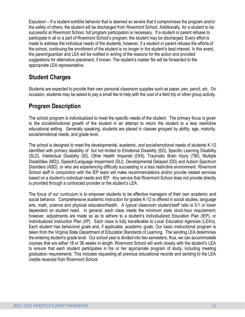Expulsion – If a student exhibits behavior that is deemed so severe that it compromises the program and/or the safety of others, the student will be discharged from Rivermont School. Additionally, for a student to be successful at Rivermont School, full program participation is necessary. If a student or parent refuses to participate in all or a part of Rivermont School's program, the student may be discharged. Every effort is made to address the individual needs of the students, however, if a student or parent refuses the efforts of the school, continuing the enrollment of the student is no longer in the student's best interest. In this event, the parent/guardian and LEA will be notified in writing of the reasons for the action and provided suggestions for alternative placement, if known. The student's master file will be forwarded to the appropriate LEA representative.

## **Student Charges**

Students are expected to provide their own personal classroom supplies such as paper, pen, pencil, etc. On occasion, students may be asked to pay a small fee to help with the cost of a field trip or other group activity.

## **Program Description**

The school program is individualized to meet the specific needs of the student. The primary focus is given to the social/emotional growth of the student in an attempt to return the student to a less restrictive educational setting. Generally speaking, students are placed in classes grouped by ability, age, maturity, social/emotional needs, and grade level.

The school is designed to meet the developmental, academic, and social/emotional needs of students K-12 identified with primary disability of but not limited to Emotional Disability (ED), Specific Learning Disability (SLD), Intellectual Disability (ID), Other Health Impaired (OHI), Traumatic Brain Injury (TBI), Multiple Disabilities (MD)), Speech/Language Impairment (SLI), Developmental Delayed (DD) and Autism Spectrum Disorders (ASD), or who are experiencing difficulty succeeding in a less restrictive environment. Rivermont School staff in conjunction with the IEP team will make recommendations and/or provide related services based on a student's individual needs and IEP. Any service that Rivermont School does not provide directly is provided through a contracted provider or the student's LEA.

The focus of our curriculum is to empower students to be effective managers of their own academic and social behavior. Comprehensive academic instruction for grades K-12 is offered in social studies, language arts, math, science and physical education/health. A typical classroom student/staff ratio is 5:1 or lower dependent on student need. In general, each class meets the minimum state clock-hour requirement; however, adjustments are made so as to adhere to a student's Individualized Education Plan (IEP), or Individualized Instruction Plan (IIP). Each class is fully transferable to Local Education Agencies (LEA's). Each student has behavioral goals and, if applicable, academic goals. Our basic instructional program is taken from the Virginia State Department of Education Standards of Learning. The sending LEA determines the entering student's grade level. Our school year is divided into two semesters; thus, we can accommodate courses that are either 18 or 36 weeks in length. Rivermont School will work closely with the student's LEA to ensure that each student participates in his or her appropriate program of study, including meeting graduation requirements. This includes requesting all previous educational records and sending to the LEA credits received from Rivermont School.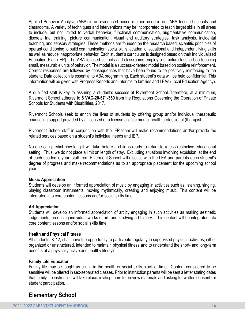Applied Behavior Analysis (ABA) is an evidenced based method used in our ABA focused schools and classrooms. A variety of techniques and interventions may be incorporated to teach target skills in all areas to include, but not limited to verbal behavior, functional communication, augmentative communication, discrete trial training, picture communication, visual and auditory strategies, task analysis, incidental teaching, and sensory strategies. These methods are founded on the research based, scientific principles of operant conditioning to build communication, social skills, academic, vocational and independent living skills as well as reduce inappropriate behavior. Each student's curriculum is designed based on their Individualized Education Plan (IEP). The ABA focused schools and classrooms employ a structure focused on teaching small, measurable units of behavior. The model is a success-oriented model based on positive reinforcement. Correct responses are followed by consequences that have been found to be positively reinforcing to the student. Data collection is essential to ABA programming. Each student's data will be held confidential. This information will be given with Progress Reports and Interims to families and LEAs (Local Education Agency).

A qualified staff is key to assuring a student's success at Rivermont School. Therefore, at a minimum, Rivermont School adheres to **8 VAC-20-671-350** from the Regulations Governing the Operation of Private Schools for Students with Disabilities, 2017.

Rivermont Schools seek to enrich the lives of students by offering group and/or individual therapeutic counseling support provided by a licensed or a license eligible mental health professional (therapist).

Rivermont School staff in conjunction with the IEP team will make recommendations and/or provide the related services based on a student's individual needs and IEP.

No one can predict how long it will take before a child is ready to return to a less restrictive educational setting. Thus, we do not place a limit on length of stay. Excluding situations involving expulsion, at the end of each academic year, staff from Rivermont School will discuss with the LEA and parents each student's degree of progress and make recommendations as to an appropriate placement for the upcoming school year.

#### **Music Appreciation**

Students will develop an informed appreciation of music by engaging in activities such as listening, singing, playing classroom instruments, moving rhythmically, creating and enjoying music. This content will be integrated into core content lessons and/or social skills time.

#### **Art Appreciation**

Students will develop an informed appreciation of art by engaging in such activities as making aesthetic judgements, producing individual works of art, and studying art history. This content will be integrated into core content lessons and/or social skills time.

#### **Health and Physical Fitness**

All students, K-12, shall have the opportunity to participate regularly in supervised physical activities, either organized or unstructured, intended to maintain physical fitness and to understand the short- and long-term benefits of a physically active and healthy lifestyle.

#### **Family Life Education**

Family life may be taught as a unit in the health or social skills block of time. Content considered to be sensitive will be offered in sex-separated classes. Prior to instruction parents will be sent a letter stating dates that family life instruction will take place, inviting them to preview materials and asking for written consent for student participation.

## **Elementary School**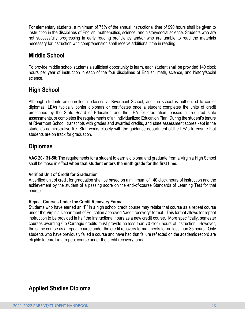For elementary students, a minimum of 75% of the annual instructional time of 990 hours shall be given to instruction in the disciplines of English, mathematics, science, and history/social science. Students who are not successfully progressing in early reading proficiency and/or who are unable to read the materials necessary for instruction with comprehension shall receive additional time in reading.

# **Middle School**

To provide middle school students a sufficient opportunity to learn, each student shall be provided 140 clock hours per year of instruction in each of the four disciplines of English, math, science, and history/social science.

# **High School**

Although students are enrolled in classes at Rivermont School, and the school is authorized to confer diplomas, LEAs typically confer diplomas or certificates once a student completes the units of credit prescribed by the State Board of Education and the LEA for graduation, passes all required state assessments, or completes the requirements of an Individualized Education Plan. During the student's tenure at Rivermont School, transcripts with grades and awarded credits, and state assessment scores kept in the student's administrative file. Staff works closely with the guidance department of the LEAs to ensure that students are on track for graduation.

## **Diplomas**

**VAC 20-131-50**: The requirements for a student to earn a diploma and graduate from a Virginia High School shall be those in effect **when that student enters the ninth grade for the first time.**

#### **Verified Unit of Credit for Graduation**

A verified unit of credit for graduation shall be based on a minimum of 140 clock hours of instruction and the achievement by the student of a passing score on the end-of-course Standards of Learning Test for that course.

#### **Repeat Courses Under the Credit Recovery Format**

Students who have earned an "F" in a high school credit course may retake that course as a repeat course under the Virginia Department of Education approved "credit recovery" format. This format allows for repeat instruction to be provided in half the instructional hours as a new credit course. More specifically, semester courses awarding 0.5 Carnegie credits must provide no less than 70 clock hours of instruction. However, the same course as a repeat course under the credit recovery format meets for no less than 35 hours. Only students who have previously failed a course and have had that failure reflected on the academic record are eligible to enroll in a repeat course under the credit recovery format.

# **Applied Studies Diploma**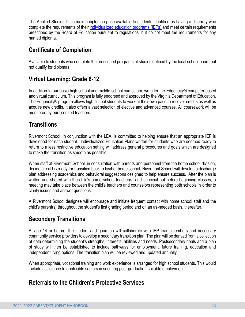The Applied Studies Diploma is a diploma option available to students identified as having a disability who complete the requirements of their [individualized](http://www.doe.virginia.gov/special_ed/iep_instruct_svcs/index.shtml) education programs (IEPs) and meet certain requirements prescribed by the Board of Education pursuant to regulations, but do not meet the requirements for any named diploma.

# **Certificate of Completion**

Available to students who complete the prescribed programs of studies defined by the local school board but not qualify for diplomas.

# **Virtual Learning: Grade 6-12**

In addition to our basic high school and middle school curriculum, we offer the Edgenuity® computer based and virtual curriculum. This program is fully endorsed and approved by the Virginia Department of Education. The Edgenuity® program allows high school students to work at their own pace to recover credits as well as acquire new credits. It also offers a vast selection of elective and advanced courses. All coursework will be monitored by our licensed teachers.

# **Transitions**

Rivermont School, in conjunction with the LEA, is committed to helping ensure that an appropriate IEP is developed for each student. Individualized Education Plans written for students who are deemed ready to return to a less restrictive education setting will address general procedures and goals which are designed to make the transition as smooth as possible.

When staff at Rivermont School, in consultation with parents and personnel from the home school division, decide a child is ready for transition back to his/her home school, Rivermont School will develop a discharge plan addressing academics and behavioral suggestions designed to help ensure success. After the plan is written and shared with the child's home school teacher(s) and principal but before beginning classes, a meeting may take place between the child's teachers and counselors representing both schools in order to clarify issues and answer questions.

A Rivermont School designee will encourage and initiate frequent contact with home school staff and the child's parent(s) throughout the student's first grading period and on an as-needed basis, thereafter.

# **Secondary Transitions**

At age 14 or before, the student and guardian will collaborate with IEP team members and necessary community service providers to develop a secondary transition plan. The plan will be derived from a collection of data determining the student's strengths, interests, abilities and needs. Postsecondary goals and a plan of study will then be established to include pathways for employment, future training, education and independent living options. The transition plan will be reviewed and updated annually.

When appropriate, vocational training and work experience is arranged for high school students. This would include assistance to applicable seniors in securing post-graduation suitable employment.

## **Referrals to the Children's Protective Services**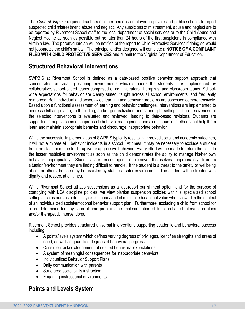The *Code of Virginia* requires teachers or other persons employed in private and public schools to report suspected child mistreatment, abuse and neglect. Any suspicions of mistreatment, abuse and neglect are to be reported by Rivermont School staff to the local department of social services or to the Child Abuse and Neglect Hotline as soon as possible but no later than 24 hours of the first suspicions in compliance with Virginia law. The parent/guardian will be notified of the report to Child Protective Services if doing so would not jeopardize the child's safety. The principal and/or designee will complete a **NOTICE OF A COMPLAINT FILED WITH CHILD PROTECTIVE SERVICES** and submit to the Virginia Department of Education.

## **Structured Behavioral Interventions**

SWPBIS at Rivermont School is defined as a data-based positive behavior support approach that concentrates on creating learning environments which supports the students. It is implemented by collaborative, school-based teams comprised of administrators, therapists, and classroom teams. Schoolwide expectations for behavior are clearly stated, taught across all school environments, and frequently reinforced. Both individual and school-wide learning and behavior problems are assessed comprehensively. Based upon a functional assessment of learning and behavior challenges, interventions are implemented to address skill acquisition, skill building, and/or generalization across multiple settings. The effectiveness of the selected interventions is evaluated and reviewed, leading to data-based revisions. Students are supported through a common approach to behavior management and a continuum of methods that help them learn and maintain appropriate behavior and discourage inappropriate behavior.

While the successful implementation of SWPBIS typically results in improved social and academic outcomes, it will not eliminate ALL behavior incidents in a school. At times, it may be necessary to exclude a student from the classroom due to disruptive or aggressive behavior. Every effort will be made to return the child to the lesser restrictive environment as soon as the child demonstrates the ability to manage his/her own behavior appropriately. Students are encouraged to remove themselves appropriately from a situation/environment they are finding difficult to handle. If the student is a threat to the safety or wellbeing of self or others, he/she may be assisted by staff to a safer environment. The student will be treated with dignity and respect at all times.

While Rivermont School utilizes suspensions as a last-resort punishment option, and for the purpose of complying with LEA discipline policies, we view blanket suspension policies within a specialized school setting such as ours as potentially exclusionary and of minimal educational value when viewed in the context of an individualized social/emotional behavior support plan. Furthermore, excluding a child from school for a pre-determined lengthy span of time prohibits the implementation of function-based intervention plans and/or therapeutic interventions.

Rivermont School provides structured universal interventions supporting academic and behavioral success including:

- A points/levels system which defines varying degrees of privileges, identifies strengths and areas of need, as well as quantifies degrees of behavioral progress
- Consistent acknowledgement of desired behavioral expectations
- A system of meaningful consequences for inappropriate behaviors
- Individualized Behavior Support Plans
- Daily communication with parents
- Structured social skills instruction
- Engaging instructional environments

# **Points and Levels System**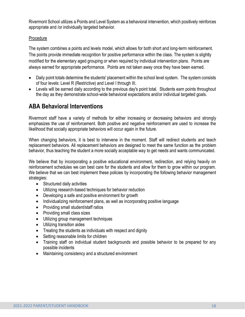Rivermont School utilizes a Points and Level System as a behavioral intervention, which positively reinforces appropriate and /or individually targeted behavior.

#### Procedure

The system combines a points and levels model, which allows for both short and long-term reinforcement. The points provide immediate recognition for positive performance within the class. The system is slightly modified for the elementary aged grouping or when required by individual intervention plans. Points are always earned for appropriate performance. Points are not taken away once they have been earned.

- Daily point totals determine the students' placement within the school level system. The system consists of four levels: Level R (Restrictive) and Level I through III.
- Levels will be earned daily according to the previous day's point total. Students earn points throughout the day as they demonstrate school-wide behavioral expectations and/or individual targeted goals.

## **ABA Behavioral Interventions**

Rivermont staff have a variety of methods for either increasing or decreasing behaviors and strongly emphasizes the use of reinforcement. Both positive and negative reinforcement are used to increase the likelihood that socially appropriate behaviors will occur again in the future.

When changing behaviors, it is best to intervene in the moment. Staff will redirect students and teach replacement behaviors. All replacement behaviors are designed to meet the same function as the problem behavior, thus teaching the student a more socially acceptable way to get needs and wants communicated.

We believe that by incorporating a positive educational environment, redirection, and relying heavily on reinforcement schedules we can best care for the students and allow for them to grow within our program. We believe that we can best implement these policies by incorporating the following behavior management strategies:

- Structured daily activities
- Utilizing research-based techniques for behavior reduction
- Developing a safe and positive environment for growth
- Individualizing reinforcement plans, as well as incorporating positive language
- Providing small student/staff ratios
- Providing small class sizes
- Utilizing group management techniques
- Utilizing transition aides
- Treating the students as individuals with respect and dignity
- Setting reasonable limits for children
- Training staff on individual student backgrounds and possible behavior to be prepared for any possible incidents
- Maintaining consistency and a structured environment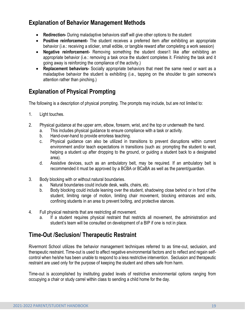# **Explanation of Behavior Management Methods**

- **Redirection-** During maladaptive behaviors staff will give other options to the student
- **Positive reinforcement-** The student receives a preferred item after exhibiting an appropriate behavior (i.e.: receiving a sticker, small edible, or tangible reward after completing a work session)
- **Negative reinforcement-** Removing something the student doesn't like after exhibiting an appropriate behavior (i.e.: removing a task once the student completes it. Finishing the task and it going away is reinforcing the compliance of the activity.)
- **Replacement behaviors-** Socially appropriate behaviors that meet the same need or want as a maladaptive behavior the student is exhibiting (i.e., tapping on the shoulder to gain someone's attention rather than pinching.)

# **Explanation of Physical Prompting**

The following is a description of physical prompting. The prompts may include, but are not limited to:

- 1. Light touches.
- 2. Physical guidance at the upper arm, elbow, forearm, wrist, and the top or underneath the hand.
	- a. This includes physical guidance to ensure compliance with a task or activity.
		- b. Hand-over-hand to provide errorless teaching.
		- c. Physical guidance can also be utilized in transitions to prevent disruptions within current environment and/or teach expectations in transitions (such as: prompting the student to wait, helping a student up after dropping to the ground, or guiding a student back to a designated area).
		- d. Assistive devices, such as an ambulatory belt, may be required. If an ambulatory belt is recommended it must be approved by a BCBA or BCaBA as well as the parent/guardian.
- 3. Body blocking with or without natural boundaries.
	- a. Natural boundaries could include desk, walls, chairs, etc.
	- b. Body blocking could include leaning over the student, shadowing close behind or in front of the student, limiting range of motion, limiting chair movement, blocking entrances and exits, confining students in an area to prevent bolting, and protective stances.
- 4. Full physical restraints that are restricting all movement.
	- a. If a student requires physical restraint that restricts all movement, the administration and student's team will be consulted on development of a BIP if one is not in place.

# **Time-Out /Seclusion/ Therapeutic Restraint**

Rivermont School utilizes the behavior management techniques referred to as time-out, seclusion, and therapeutic restraint. Time-out is used to affect negative environmental factors and to reflect and regain selfcontrol when he/she has been unable to respond to a less restrictive intervention. Seclusion and therapeutic restraint are used only for the purpose of keeping the student and others safe from harm.

Time-out is accomplished by instituting graded levels of restrictive environmental options ranging from occupying a chair or study carrel within class to sending a child home for the day.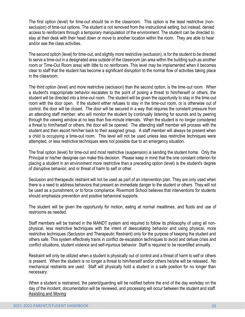The first option (level) for time-out should be in the classroom. This option is the least restrictive (nonseclusion) of time-out options. The student is not removed from the instructional setting, but instead, denied access to reinforcers through a temporary manipulation of the environment. The student can be directed to stay at their desk with their head down or move to another location within the room. They are able to hear and/or see the class activities.

The second option (level) for time-out, and slightly more restrictive (exclusion), is for the student to be directed to serve a time-out in a designated area outside of the classroom (an area within the building such as another room or Time-Out Room area) with little to no reinforcers. This level may be implemented when it becomes clear to staff that the student has become a significant disruption to the normal flow of activities taking place in the classroom.

The third option (level) and more restrictive (seclusion) than the second option, is the time-out room. When a student's inappropriate behavior escalates to the point of posing a threat to him/herself or others, the student will be directed into a time-out room. The student will be given the opportunity to stay in the time-out room with the door open. If the student either refuses to stay in the time-out room, or is otherwise out of control, the door will be closed. The door will be secured in a way that requires the constant pressure from an attending staff member, who will monitor the student by continually listening for sounds and by peering through the viewing window at no less than five-minute intervals. When the student is no longer considered a threat to him/herself or others, the door will be opened. The attending staff member will process with the student and then escort him/her back to their assigned group. A staff member will always be present when a child is occupying a time-out room. This level will not be used unless less restrictive techniques were attempted, or less restrictive techniques were not possible due to an emergency situation.

The final option (level) for time-out and most restrictive (suspension) is sending the student home. Only the Principal or his/her designee can make this decision. Please keep in mind that the one constant criterion for placing a student in an environment more restrictive than a preceding option (level) is the student's degree of disruptive behavior, and or threat of harm to self or other.

Seclusion and therapeutic restraint will not be used as part of an intervention plan. They are only used when there is a need to address behaviors that present an immediate danger to the student or others. They will not be used as a punishment, or to force compliance. Rivermont School believes that interventions for students should emphasize prevention and positive behavioral supports.

The student will be given the opportunity for motion, eating at normal mealtimes, and fluids and use of restrooms as needed.

Staff members will be trained in the MANDT system and required to follow its philosophy of using all nonphysical, less restrictive techniques with the intent of deescalating behavior and using physical, more restrictive techniques (Seclusion and Therapeutic Restraint) only for the purpose of keeping the student and others safe. This system effectively trains in conflict de-escalation techniques to avoid and defuse crisis and conflict situations, student violence and self-injurious behavior. Staff is required to be recertified annually.

Restraint will only be utilized when a student is physically out of control and a threat of harm to self or others is present. When the student is no longer a threat to him/herself and/or others he/she will be released. No mechanical restraints are used. Staff will physically hold a student in a safe position for no longer than necessary.

When a student is restrained, the parent/guarding will be notified before the end of the day workday on the day of the incident, documentation will be reviewed, and processing will occur between the student and staff. Assisting and Moving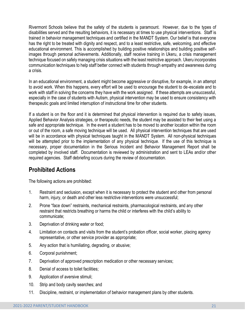Rivermont Schools believe that the safety of the students is paramount. However, due to the types of disabilities served and the resulting behaviors, it is necessary at times to use physical interventions. Staff is trained in behavior management techniques and certified in the MANDT System. Our belief is that everyone has the right to be treated with dignity and respect, and to a least restrictive, safe, welcoming, and effective educational environment. This is accomplished by building positive relationships and building positive selfimages through personal achievements. Additionally, staff receive training in Ukeru, a crisis management technique focused on safely managing crisis situations with the least restrictive approach. Ukeru incorporates communication techniques to help staff better connect with students through empathy and awareness during a crisis.

In an educational environment, a student might become aggressive or disruptive, for example, in an attempt to avoid work. When this happens, every effort will be used to encourage the student to de-escalate and to work with staff in solving the concerns they have with the work assigned. If these attempts are unsuccessful, especially in the case of students with Autism, physical intervention may be used to ensure consistency with therapeutic goals and limited interruption of instructional time for other students.

If a student is on the floor and it is determined that physical intervention is required due to safety issues, Applied Behavior Analysis strategies, or therapeutic needs, the student may be assisted to their feet using a safe and appropriate technique. In the event a student has to be moved to another location within the room or out of the room, a safe moving technique will be used. All physical intervention techniques that are used will be in accordance with physical techniques taught in the MANDT System. All non-physical techniques will be attempted prior to the implementation of any physical technique. If the use of this technique is necessary, proper documentation in the Serious Incident and Behavior Management Report shall be completed by involved staff. Documentation is reviewed by administration and sent to LEAs and/or other required agencies. Staff debriefing occurs during the review of documentation.

## **Prohibited Actions**

The following actions are prohibited:

- 1. Restraint and seclusion, except when it is necessary to protect the student and other from personal harm, injury, or death and other less restrictive interventions were unsuccessful;
- 2. Prone "face down" restraints, mechanical restraints, pharmacological restraints, and any other restraint that restricts breathing or harms the child or interferes with the child's ability to communicate;
- 3. Deprivation of drinking water or food;
- 4. Limitation on contacts and visits from the student's probation officer, social worker, placing agency representative, or other service provider as appropriate;
- 5. Any action that is humiliating, degrading, or abusive;
- 6. Corporal punishment;
- 7. Deprivation of approved prescription medication or other necessary services;
- 8. Denial of access to toilet facilities;
- 9. Application of aversive stimuli;
- 10. Strip and body cavity searches; and
- 11. Discipline, restraint, or implementation of behavior management plans by other students.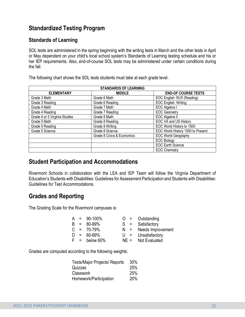# **Standardized Testing Program**

#### **Standards of Learning**

SOL tests are administered in the spring beginning with the writing tests in March and the other tests in April or May dependent on your child's local school system's Standards of Learning testing schedule and his or her IEP requirements. Also, end-of-course SOL tests may be administered under certain conditions during the fall.

The following chart shows the SOL tests students must take at each grade level.

| <b>STANDARDS OF LEARNING</b>  |                            |                                   |  |
|-------------------------------|----------------------------|-----------------------------------|--|
| <b>ELEMENTARY</b>             | <b>MIDDLE</b>              | <b>END-OF COURSE TESTS</b>        |  |
| Grade 3 Math                  | Grade 6 Math               | EOC English: RLR (Reading)        |  |
| Grade 3 Reading               | Grade 6 Reading            | EOC English: Writing              |  |
| Grade 4 Math                  | Grade 7 Math               | EOC Algebra I                     |  |
| Grade 4 Reading               | Grade 7 Reading            | <b>EOC Geometry</b>               |  |
| Grade 4 or 5 Virginia Studies | Grade 8 Math               | EOC Algebra II                    |  |
| Grade 5 Math                  | Grade 8 Reading            | EOC VA and US History             |  |
| Grade 5 Reading               | Grade 8 Writing            | EOC World History to 1500         |  |
| Grade 5 Science               | Grade 8 Science            | EOC World History 1500 to Present |  |
|                               | Grade 8 Civics & Economics | <b>EOC World Geography</b>        |  |
|                               |                            | <b>EOC Biology</b>                |  |
|                               |                            | <b>EOC Earth Science</b>          |  |
|                               |                            | <b>EOC Chemistry</b>              |  |

## **Student Participation and Accommodations**

Rivermont Schools in collaboration with the LEA and IEP Team will follow the Virginia Department of Education's Students with Disabilities: Guidelines for Assessment Participation and Students with Disabilities: Guidelines for Test Accommodations.

# **Grades and Reporting**

The Grading Scale for the Rivermont campuses is:

|  | $A = 90-100\%$  | $O =$ Outstanding       |
|--|-----------------|-------------------------|
|  | $B = 80-89%$    | $S =$ Satisfactory      |
|  | $C = 70-79%$    | $N =$ Needs Improvement |
|  | $D = 60-69\%$   | $U =$ Unsatisfactory    |
|  | $F =$ below 60% | $NE =$ Not Evaluated    |

Grades are computed according to the following weights:

| <b>Tests/Major Projects/ Reports</b> | 30% |
|--------------------------------------|-----|
| Quizzes                              | 25% |
| <b>Classwork</b>                     | 25% |
| Homework/Participation               | 20% |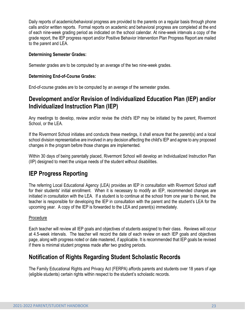Daily reports of academic/behavioral progress are provided to the parents on a regular basis through phone calls and/or written reports. Formal reports on academic and behavioral progress are completed at the end of each nine-week grading period as indicated on the school calendar. At nine-week intervals a copy of the grade report, the IEP progress report and/or Positive Behavior Intervention Plan Progress Report are mailed to the parent and LEA.

#### **Determining Semester Grades:**

Semester grades are to be computed by an average of the two nine-week grades.

#### **Determining End-of-Course Grades:**

End-of-course grades are to be computed by an average of the semester grades.

## **Development and/or Revision of Individualized Education Plan (IEP) and/or Individualized Instruction Plan (IEP)**

Any meetings to develop, review and/or revise the child's IEP may be initiated by the parent, Rivermont School, or the LEA.

If the Rivermont School initiates and conducts these meetings, it shall ensure that the parent(s) and a local school division representative are involved in any decision affecting the child's IEP and agree to any proposed changes in the program before those changes are implemented.

Within 30 days of being parentally placed, Rivermont School will develop an Individualized Instruction Plan (IIP) designed to meet the unique needs of the student without disabilities.

## **IEP Progress Reporting**

The referring Local Educational Agency (LEA) provides an IEP in consultation with Rivermont School staff for their students' initial enrollment. When it is necessary to modify an IEP, recommended changes are initiated in consultation with the LEA. If a student is to continue at the school from one year to the next, the teacher is responsible for developing the IEP in consultation with the parent and the student's LEA for the upcoming year. A copy of the IEP is forwarded to the LEA and parent(s) immediately.

#### Procedure

Each teacher will review all IEP goals and objectives of students assigned to their class. Reviews will occur at 4.5-week intervals. The teacher will record the date of each review on each IEP goals and objectives page, along with progress noted or date mastered, if applicable. It is recommended that IEP goals be revised if there is minimal student progress made after two grading periods.

## **Notification of Rights Regarding Student Scholastic Records**

The Family Educational Rights and Privacy Act (FERPA) affords parents and students over 18 years of age (eligible students) certain rights within respect to the student's scholastic records.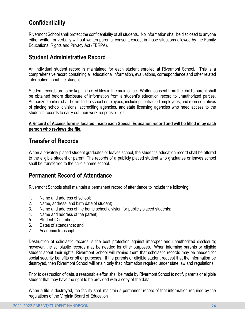# **Confidentiality**

Rivermont School shall protect the confidentiality of all students. No information shall be disclosed to anyone either written or verbally without written parental consent, except in those situations allowed by the Family Educational Rights and Privacy Act (FERPA).

## **Student Administrative Record**

An individual student record is maintained for each student enrolled at Rivermont School. This is a comprehensive record containing all educational information, evaluations, correspondence and other related information about the student.

Student records are to be kept in locked files in the main office. Written consent from the child's parent shall be obtained before disclosure of information from a student's education record to unauthorized parties. Authorized parties shall be limited to school employees, including contracted employees, and representatives of placing school divisions, accrediting agencies, and state licensing agencies who need access to the student's records to carry out their work responsibilities.

#### **A Record of Access form is located inside each Special Education record and will be filled in by each person who reviews the file.**

## **Transfer of Records**

When a privately placed student graduates or leaves school, the student's education record shall be offered to the eligible student or parent. The records of a publicly placed student who graduates or leaves school shall be transferred to the child's home school.

## **Permanent Record of Attendance**

Rivermont Schools shall maintain a permanent record of attendance to include the following:

- 1. Name and address of school;
- 2. Name, address, and birth date of student;
- 3. Name and address of the home school division for publicly placed students;
- 4. Name and address of the parent;
- 5. Student ID number;
- 6. Dates of attendance; and
- 7. Academic transcript.

Destruction of scholastic records is the best protection against improper and unauthorized disclosure; however, the scholastic records may be needed for other purposes. When informing parents or eligible student about their rights, Rivermont School will remind them that scholastic records may be needed for social security benefits or other purposes. If the parents or eligible student request that the information be destroyed, then Rivermont School will retain only that information required under state law and regulations.

Prior to destruction of data, a reasonable effort shall be made by Rivermont School to notify parents or eligible student that they have the right to be provided with a copy of the data.

When a file is destroyed, the facility shall maintain a permanent record of that information required by the regulations of the Virginia Board of Education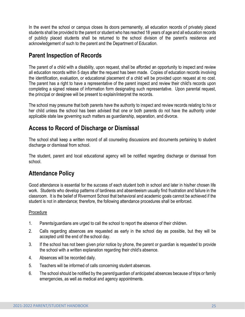In the event the school or campus closes its doors permanently, all education records of privately placed students shall be provided to the parent or student who has reached 18 years of age and all education records of publicly placed students shall be returned to the school division of the parent's residence and acknowledgement of such to the parent and the Department of Education.

# **Parent Inspection of Records**

The parent of a child with a disability, upon request, shall be afforded an opportunity to inspect and review all education records within 5 days after the request has been made. Copies of education records involving the identification, evaluation, or educational placement of a child will be provided upon request at no cost. The parent has a right to have a representative of the parent inspect and review their child's records upon completing a signed release of information form designating such representative. Upon parental request, the principal or designee will be present to explain/interpret the records.

The school may presume that both parents have the authority to inspect and review records relating to his or her child unless the school has been advised that one or both parents do not have the authority under applicable state law governing such matters as guardianship, separation, and divorce.

# **Access to Record of Discharge or Dismissal**

The school shall keep a written record of all counseling discussions and documents pertaining to student discharge or dismissal from school.

The student, parent and local educational agency will be notified regarding discharge or dismissal from school.

# **Attendance Policy**

Good attendance is essential for the success of each student both in school and later in his/her chosen life work. Students who develop patterns of tardiness and absenteeism usually find frustration and failure in the classroom. It is the belief of Rivermont School that behavioral and academic goals cannot be achieved if the student is not in attendance; therefore, the following attendance procedures shall be enforced.

#### Procedure

- 1. Parents/guardians are urged to call the school to report the absence of their children.
- 2. Calls regarding absences are requested as early in the school day as possible, but they will be accepted until the end of the school day.
- 3. If the school has not been given prior notice by phone, the parent or guardian is requested to provide the school with a written explanation regarding their child's absence.
- 4. Absences will be recorded daily.
- 5. Teachers will be informed of calls concerning student absences.
- 6. The school should be notified by the parent/guardian of anticipated absences because of trips or family emergencies, as well as medical and agency appointments.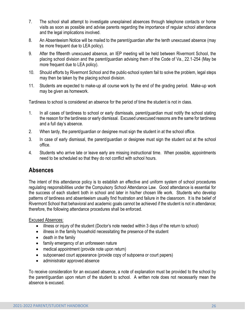- 7. The school shall attempt to investigate unexplained absences through telephone contacts or home visits as soon as possible and advise parents regarding the importance of regular school attendance and the legal implications involved.
- 8. An Absenteeism Notice will be mailed to the parent/guardian after the tenth unexcused absence (may be more frequent due to LEA policy).
- 9. After the fifteenth unexcused absence, an IEP meeting will be held between Rivermont School, the placing school division and the parent/guardian advising them of the Code of Va., 22.1-254 (May be more frequent due to LEA policy).
- 10. Should efforts by Rivermont School and the public-school system fail to solve the problem, legal steps may then be taken by the placing school division.
- 11. Students are expected to make-up all course work by the end of the grading period. Make-up work may be given as homework.

Tardiness to school is considered an absence for the period of time the student is not in class.

- 1. In all cases of tardiness to school or early dismissals, parent/guardian must notify the school stating the reason for the tardiness or early dismissal. Excused unexcused reasons are the same for tardiness and a full day's absence.
- 2. When tardy, the parent/guardian or designee must sign the student in at the school office.
- 3. In case of early dismissal, the parent/guardian or designee must sign the student out at the school office.
- 4. Students who arrive late or leave early are missing instructional time. When possible, appointments need to be scheduled so that they do not conflict with school hours.

## **Absences**

The intent of this attendance policy is to establish an effective and uniform system of school procedures regulating responsibilities under the Compulsory School Attendance Law. Good attendance is essential for the success of each student both in school and later in his/her chosen life work. Students who develop patterns of tardiness and absenteeism usually find frustration and failure in the classroom. It is the belief of Rivermont School that behavioral and academic goals cannot be achieved if the student is not in attendance; therefore, the following attendance procedures shall be enforced.

#### Excused Absences:

- illness or injury of the student (Doctor's note needed within 3 days of the return to school)
- illness in the family household necessitating the presence of the student
- death in the family
- family emergency of an unforeseen nature
- medical appointment (provide note upon return)
- subpoenaed court appearance (provide copy of subpoena or court papers)
- administrator approved absence

To receive consideration for an excused absence, a note of explanation must be provided to the school by the parent/guardian upon return of the student to school. A written note does not necessarily mean the absence is excused.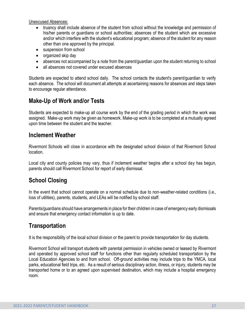Unexcused Absences:

- truancy shall include absence of the student from school without the knowledge and permission of his/her parents or guardians or school authorities; absences of the student which are excessive and/or which interfere with the student's educational program; absence of the student for any reason other than one approved by the principal.
- suspension from school
- organized skip day
- absences not accompanied by a note from the parent/guardian upon the student returning to school
- all absences not covered under excused absences

Students are expected to attend school daily. The school contacts the student's parent/guardian to verify each absence. The school will document all attempts at ascertaining reasons for absences and steps taken to encourage regular attendance.

# **Make-Up of Work and/or Tests**

Students are expected to make-up all course work by the end of the grading period in which the work was assigned. Make-up work may be given as homework. Make-up work is to be completed at a mutually agreed upon time between the student and the teacher.

## **Inclement Weather**

Rivermont Schools will close in accordance with the designated school division of that Rivermont School location.

Local city and county policies may vary, thus if inclement weather begins after a school day has begun, parents should call Rivermont School for report of early dismissal.

# **School Closing**

In the event that school cannot operate on a normal schedule due to non-weather-related conditions (i.e., loss of utilities), parents, students, and LEAs will be notified by school staff.

Parents/guardians should have arrangements in place for their children in case of emergency early dismissals and ensure that emergency contact information is up to date.

## **Transportation**

It is the responsibility of the local school division or the parent to provide transportation for day students.

Rivermont School will transport students with parental permission in vehicles owned or leased by Rivermont and operated by approved school staff for functions other than regularly scheduled transportation by the Local Education Agencies to and from school. Off-ground activities may include trips to the YMCA, local parks, educational field trips, etc. As a result of serious disciplinary action, illness, or injury, students may be transported home or to an agreed upon supervised destination, which may include a hospital emergency room.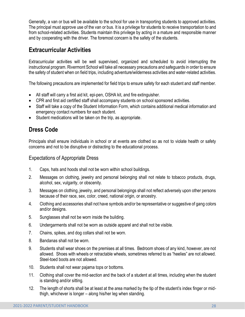Generally, a van or bus will be available to the school for use in transporting students to approved activities. The principal must approve use of the van or bus. It is a privilege for students to receive transportation to and from school-related activities. Students maintain this privilege by acting in a mature and responsible manner and by cooperating with the driver. The foremost concern is the safety of the students.

# **Extracurricular Activities**

Extracurricular activities will be well supervised, organized and scheduled to avoid interrupting the instructional program. Rivermont School will take all necessary precautions and safeguards in order to ensure the safety of student when on field trips, including adventure/wilderness activities and water-related activities.

The following precautions are implemented for field trips to ensure safety for each student and staff member.

- All staff will carry a first aid kit, epi-pen, OSHA kit, and fire extinguisher.
- CPR and first aid certified staff shall accompany students on school sponsored activities.
- Staff will take a copy of the Student Information Form, which contains additional medical information and emergency contact numbers for each student.
- Student medications will be taken on the trip, as appropriate.

# **Dress Code**

Principals shall ensure individuals in school or at events are clothed so as not to violate health or safety concerns and not to be disruptive or distracting to the educational process.

#### Expectations of Appropriate Dress

- 1. Caps, hats and hoods shall not be worn within school buildings.
- 2. Messages on clothing, jewelry and personal belonging shall not relate to tobacco products, drugs, alcohol, sex, vulgarity, or obscenity.
- 3. Messages on clothing, jewelry, and personal belongings shall not reflect adversely upon other persons because of their race, sex, color, creed, national origin, or ancestry.
- 4. Clothing and accessories shall not have symbols and/or be representative or suggestive of gang colors and/or designs.
- 5. Sunglasses shall not be worn inside the building.
- 6. Undergarments shall not be worn as outside apparel and shall not be visible.
- 7. Chains, spikes, and dog collars shall not be worn.
- 8. Bandanas shall not be worn.
- 9. Students shall wear shoes on the premises at all times. Bedroom shoes of any kind, however, are not allowed. Shoes with wheels or retractable wheels, sometimes referred to as "heelies" are not allowed. Steel-toed boots are not allowed.
- 10. Students shall not wear pajama tops or bottoms.
- 11. Clothing shall cover the mid-section and the back of a student at all times, including when the student is standing and/or sitting.
- 12. The length of shorts shall be at least at the area marked by the tip of the student's index finger or midthigh, whichever is longer – along his/her leg when standing.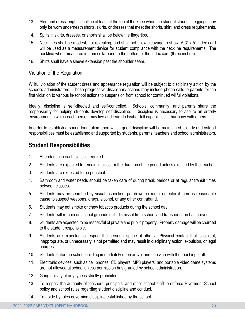- 13. Skirt and dress lengths shall be at least at the top of the knee when the student stands. Leggings may only be worn underneath shorts, skirts, or dresses that meet the shorts, skirt, and dress requirements.
- 14. Splits in skirts, dresses, or shorts shall be below the fingertips.
- 15. Necklines shall be modest, not revealing, and shall not allow cleavage to show. A 3" x 5" index card will be used as a measurement device for student compliance with the neckline requirements. The neckline when measured is from collarbone to the bottom of the index card (three inches).
- 16. Shirts shall have a sleeve extension past the shoulder seam.

#### Violation of the Regulation

Willful violation of the student dress and appearance regulation will be subject to disciplinary action by the school's administrators. These progressive disciplinary actions may include phone calls to parents for the first violation to various in-school actions to suspension from school for continued willful violations.

Ideally, discipline is self-directed and self-controlled. Schools, community, and parents share the responsibility for helping students develop self-discipline. Discipline is necessary to assure an orderly environment in which each person may live and learn to his/her full capabilities in harmony with others.

In order to establish a sound foundation upon which good discipline will be maintained, clearly understood responsibilities must be established and supported by students, parents, teachers and school administrators.

## **Student Responsibilities**

- 1. Attendance in each class is required.
- 2. Students are expected to remain in class for the duration of the period unless excused by the teacher.
- 3. Students are expected to be punctual.
- 4. Bathroom and water needs should be taken care of during break periods or at regular transit times between classes.
- 5. Students may be searched by visual inspection, pat down, or metal detector if there is reasonable cause to suspect weapons, drugs, alcohol, or any other contraband.
- 6. Students may not smoke or chew tobacco products during the school day.
- 7. Students will remain on school grounds until dismissal from school and transportation has arrived.
- 8. Students are expected to be respectful of private and public property. Property damage will be charged to the student responsible.
- 9. Students are expected to respect the personal space of others. Physical contact that is sexual, inappropriate, or unnecessary is not permitted and may result in disciplinary action, expulsion, or legal charges.
- 10. Students enter the school building immediately upon arrival and check in with the teaching staff.
- 11. Electronic devices, such as cell phones, CD players, MP3 players, and portable video game systems are not allowed at school unless permission has granted by school administration.
- 12. Gang activity of any type is strictly prohibited.
- 13. To respect the authority of teachers, principals, and other school staff to enforce Rivermont School policy and school rules regarding student discipline and conduct.
- 14. To abide by rules governing discipline established by the school.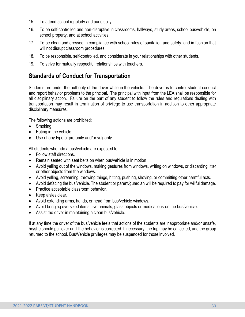- 15. To attend school regularly and punctually.
- 16. To be self-controlled and non-disruptive in classrooms, hallways, study areas, school bus/vehicle, on school property, and at school activities.
- 17. To be clean and dressed in compliance with school rules of sanitation and safety, and in fashion that will not disrupt classroom procedures.
- 18. To be responsible, self-controlled, and considerate in your relationships with other students.
- 19. To strive for mutually respectful relationships with teachers.

# **Standards of Conduct for Transportation**

Students are under the authority of the driver while in the vehicle. The driver is to control student conduct and report behavior problems to the principal. The principal with input from the LEA shall be responsible for all disciplinary action. Failure on the part of any student to follow the rules and regulations dealing with transportation may result in termination of privilege to use transportation in addition to other appropriate disciplinary measures.

The following actions are prohibited:

- Smoking
- Eating in the vehicle
- Use of any type of profanity and/or vulgarity

All students who ride a bus/vehicle are expected to:

- Follow staff directions.
- Remain seated with seat belts on when bus/vehicle is in motion
- Avoid yelling out of the windows, making gestures from windows, writing on windows, or discarding litter or other objects from the windows.
- Avoid yelling, screaming, throwing things, hitting, pushing, shoving, or committing other harmful acts.
- Avoid defacing the bus/vehicle. The student or parent/guardian will be required to pay for willful damage.
- Practice acceptable classroom behavior.
- Keep aisles clear.
- Avoid extending arms, hands, or head from bus/vehicle windows.
- Avoid bringing oversized items, live animals, glass objects or medications on the bus/vehicle.
- Assist the driver in maintaining a clean bus/vehicle.

If at any time the driver of the bus/vehicle feels that actions of the students are inappropriate and/or unsafe, he/she should pull over until the behavior is corrected. If necessary, the trip may be cancelled, and the group returned to the school. Bus/Vehicle privileges may be suspended for those involved.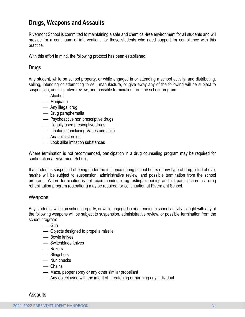## **Drugs, Weapons and Assaults**

Rivermont School is committed to maintaining a safe and chemical-free environment for all students and will provide for a continuum of interventions for those students who need support for compliance with this practice.

With this effort in mind, the following protocol has been established:

#### Drugs

Any student, while on school property, or while engaged in or attending a school activity, and distributing, selling, intending or attempting to sell, manufacture, or give away any of the following will be subject to suspension, administrative review, and possible termination from the school program:

- Alcohol
- Marijuana
- Any illegal drug
- ⎯ Drug paraphernalia
- Psychoactive non prescriptive drugs
- Illegally used prescriptive drugs
- $\overline{\phantom{a}}$  Inhalants (including Vapes and Juls)
- Anabolic steroids
- ⎯ Look alike imitation substances

Where termination is not recommended, participation in a drug counseling program may be required for continuation at Rivermont School.

If a student is suspected of being under the influence during school hours of any type of drug listed above, he/she will be subject to suspension, administrative review, and possible termination from the school program. Where termination is not recommended, drug testing/screening and full participation in a drug rehabilitation program (outpatient) may be required for continuation at Rivermont School.

#### **Weapons**

Any students, while on school property, or while engaged in or attending a school activity, caught with any of the following weapons will be subject to suspension, administrative review, or possible termination from the school program:

- Gun
- ⎯ Objects designed to propel a missile
- $-$  Bowie knives
- Switchblade knives
- Razors
- Slingshots
- Nun chucks
- Chains
- Mace, pepper spray or any other similar propellant
- $-$  Any object used with the intent of threatening or harming any individual

Assaults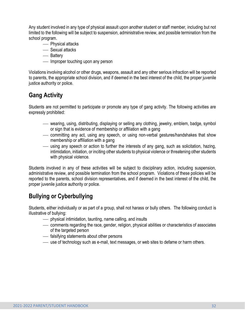Any student involved in any type of physical assault upon another student or staff member, including but not limited to the following will be subject to suspension, administrative review, and possible termination from the school program.

- Physical attacks
- Sexual attacks
- Battery
- Improper touching upon any person

Violations involving alcohol or other drugs, weapons, assault and any other serious infraction will be reported to parents, the appropriate school division, and if deemed in the best interest of the child, the proper juvenile justice authority or police.

# **Gang Activity**

Students are not permitted to participate or promote any type of gang activity. The following activities are expressly prohibited:

- ⎯ wearing, using, distributing, displaying or selling any clothing, jewelry, emblem, badge, symbol or sign that is evidence of membership or affiliation with a gang
- ⎯ committing any act, using any speech, or using non-verbal gestures/handshakes that show membership or affiliation with a gang
- ⎯ using any speech or action to further the interests of any gang, such as solicitation, hazing, intimidation, initiation, or inciting other students to physical violence or threatening other students with physical violence.

Students involved in any of these activities will be subject to disciplinary action, including suspension, administrative review, and possible termination from the school program. Violations of these policies will be reported to the parents, school division representatives, and if deemed in the best interest of the child, the proper juvenile justice authority or police.

# **Bullying or Cyberbullying**

Students, either individually or as part of a group, shall not harass or bully others. The following conduct is illustrative of bullying:

- $\frac{1}{2}$  physical intimidation, taunting, name calling, and insults
- ⎯ comments regarding the race, gender, religion, physical abilities or characteristics of associates of the targeted person
- $\equiv$  falsifying statements about other persons
- use of technology such as e-mail, text messages, or web sites to defame or harm others.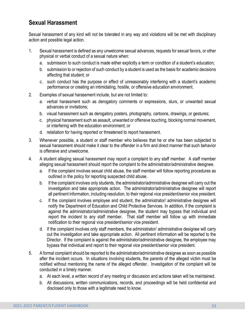# **Sexual Harassment**

Sexual harassment of any kind will not be tolerated in any way and violations will be met with disciplinary action and possible legal action.

- 1. Sexual harassment is defined as any unwelcome sexual advances, requests for sexual favors, or other physical or verbal conduct of a sexual nature when:
	- a. submission to such conduct is made either explicitly a term or condition of a student's education;
	- b. submission to or rejection of such conduct by a student is used as the basis for academic decisions affecting that student; or
	- c. such conduct has the purpose or effect of unreasonably interfering with a student's academic performance or creating an intimidating, hostile, or offensive education environment.
- 2. Examples of sexual harassment include, but are not limited to:
	- a. verbal harassment such as derogatory comments or expressions, slurs, or unwanted sexual advances or invitations;
	- b. visual harassment such as derogatory posters, photography, cartoons, drawings, or gestures;
	- c. physical harassment such as assault, unwanted or offensive touching, blocking normal movement, or interfering with the education environment; or
	- d. retaliation for having reported or threatened to report harassment.
- 3. Whenever possible, a student or staff member who believes that he or she has been subjected to sexual harassment should make it clear to the offender in a firm and direct manner that such behavior is offensive and unwelcome.
- 4. A student alleging sexual harassment may report a complaint to any staff member. A staff member alleging sexual harassment should report the complaint to the administrator/administrative designee.
	- a. If the complaint involves sexual child abuse, the staff member will follow reporting procedures as outlined in the policy for reporting suspected child abuse.
	- b. If the complaint involves only students, the administrator/administrative designee will carry out the investigation and take appropriate action. The administrator/administrative designee will report all pertinent information, including resolution, to their regional vice president/senior vice president.
	- c. If the complaint involves employee and student, the administrator/ administrative designee will notify the Department of Education and Child Protective Services. In addition, if the complaint is against the administrator/administrative designee, the student may bypass that individual and report the incident to any staff member. That staff member will follow up with immediate notification to their regional vice president/senior vice president.
	- d. If the complaint involves only staff members, the administrator/ administrative designee will carry out the investigation and take appropriate action. All pertinent information will be reported to the Director. If the complaint is against the administrator/administrative designee, the employee may bypass that individual and report to their regional vice president/senior vice president.
- 5. A formal complaint should be reported to the administrator/administrative designee as soon as possible after the incident occurs. In situations involving students, the parents of the alleged victim must be notified without mentioning the name of the alleged offender. Investigation of the complaint will be conducted in a timely manner.
	- a. At each level, a written record of any meeting or discussion and actions taken will be maintained.
	- b. All discussions, written communications, records, and proceedings will be held confidential and disclosed only to those with a legitimate need to know.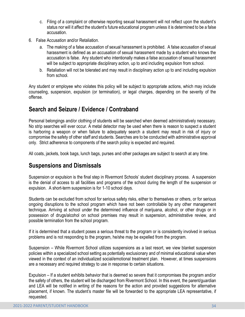- c. Filing of a complaint or otherwise reporting sexual harassment will not reflect upon the student's status nor will it affect the student's future educational program unless it is determined to be a false accusation.
- 6. False Accusation and/or Retaliation.
	- a. The making of a false accusation of sexual harassment is prohibited. A false accusation of sexual harassment is defined as an accusation of sexual harassment made by a student who knows the accusation is false. Any student who intentionally makes a false accusation of sexual harassment will be subject to appropriate disciplinary action, up to and including expulsion from school.
	- b. Retaliation will not be tolerated and may result in disciplinary action up to and including expulsion from school.

Any student or employee who violates this policy will be subject to appropriate actions, which may include counseling, suspension, expulsion (or termination), or legal charges, depending on the severity of the offense.

## **Search and Seizure / Evidence / Contraband**

Personal belongings and/or clothing of students will be searched when deemed administratively necessary. No strip searches will ever occur. A metal detector may be used when there is reason to suspect a student is harboring a weapon or when failure to adequately search a student may result in risk of injury or compromise the safety of other staff and students. Searches are to be conducted with administrative approval only. Strict adherence to components of the search policy is expected and required.

All coats, jackets, book bags, lunch bags, purses and other packages are subject to search at any time.

## **Suspensions and Dismissals**

Suspension or expulsion is the final step in Rivermont Schools' student disciplinary process. A suspension is the denial of access to all facilities and programs of the school during the length of the suspension or expulsion. A short-term suspension is for 1-10 school days.

Students can be excluded from school for serious safety risks, either to themselves or others, or for serious ongoing disruptions to the school program which have not been controllable by any other management technique. Arriving at school under the determined influence of marijuana, alcohol, or other drugs or in possession of drugs/alcohol on school premises may result in suspension, administrative review, and possible termination from the school program.

If it is determined that a student poses a serious threat to the program or is consistently involved in serious problems and is not responding to the program, he/she may be expelled from the program.

Suspension – While Rivermont School utilizes suspensions as a last resort, we view blanket suspension policies within a specialized school setting as potentially exclusionary and of minimal educational value when viewed in the context of an individualized social/emotional treatment plan. However, at times suspensions are a necessary and required strategy to use in response to certain situations.

Expulsion – If a student exhibits behavior that is deemed so severe that it compromises the program and/or the safety of others, the student will be discharged from Rivermont School. In this event, the parent/guardian and LEA will be notified in writing of the reasons for the action and provided suggestions for alternative placement, if known. The student's master file will be forwarded to the appropriate LEA representative, if requested.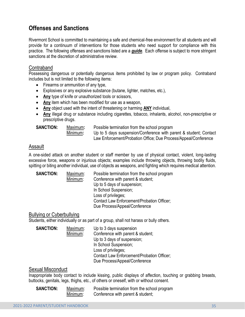# **Offenses and Sanctions**

Rivermont School is committed to maintaining a safe and chemical-free environment for all students and will provide for a continuum of interventions for those students who need support for compliance with this practice. The following offenses and sanctions listed are a *guide*. Each offense is subject to more stringent sanctions at the discretion of administrative review.

#### Contraband

Possessing dangerous or potentially dangerous items prohibited by law or program policy. Contraband includes but is not limited to the following items:

- Firearms or ammunition of any type,
- Explosives or any explosive substance (butane, lighter, matches, etc.),
- **Any** type of knife or unauthorized tools or scissors,
- **Any** item which has been modified for use as a weapon,
- **Any** object used with the intent of threatening or harming **ANY** individual,
- **Any** illegal drug or substance including cigarettes, tobacco, inhalants, alcohol, non-prescriptive or prescriptive drugs.

| <b>SANCTION:</b> |  |
|------------------|--|
|------------------|--|

Maximum: Possible termination from the school program Minimum**:** Up to 5 days suspension/Conference with parent & student; Contact Law Enforcement/Probation Office; Due Process/Appeal/Conference

#### Assault

A one-sided attack on another student or staff member by use of physical contact, violent, long-lasting excessive force, weapons or injurious objects; examples include throwing objects, throwing bodily fluids, spitting or biting another individual, use of objects as weapons, and fighting which requires medical attention.

| <b>SANCTION:</b> | Maximum: | Possible termination from the school program |
|------------------|----------|----------------------------------------------|
|                  | Minimum: | Conference with parent & student;            |
|                  |          | Up to 5 days of suspension;                  |
|                  |          | In School Suspension;                        |
|                  |          | Loss of privileges;                          |
|                  |          | Contact Law Enforcement/Probation Officer;   |
|                  |          | Due Process/Appeal/Conference                |

#### Bullying or Cyberbullying

Students, either individually or as part of a group, shall not harass or bully others.

| <b>SANCTION:</b> | Maximum: | Up to 3 days suspension                    |
|------------------|----------|--------------------------------------------|
|                  | Minimum: | Conference with parent & student;          |
|                  |          | Up to 3 days of suspension;                |
|                  |          | In School Suspension;                      |
|                  |          | Loss of privileges;                        |
|                  |          | Contact Law Enforcement/Probation Officer; |
|                  |          | Due Process/Appeal/Conference              |

#### Sexual Misconduct

Inappropriate body contact to include kissing, public displays of affection, touching or grabbing breasts, buttocks, genitals, legs, thighs, etc., of others or oneself, with or without consent.

| <b>SANCTION:</b> | Maximum: | Possible termination from the school program |
|------------------|----------|----------------------------------------------|
|                  | Minimum: | Conference with parent & student;            |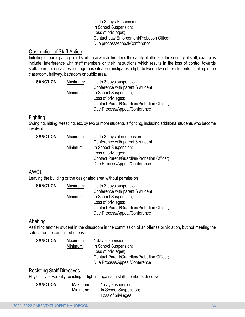#### Up to 3 days Suspension, In School Suspension; Loss of privileges; Contact Law Enforcement/Probation Officer; Due process/Appeal/Conference

#### Obstruction of Staff Action

Initiating or participating in a disturbance which threatens the safety of others or the security of staff; examples include: interference with staff members or their instructions which results in the loss of control towards staff/peers, or escalates a dangerous situation; instigates a fight between two other students; fighting in the classroom, hallway, bathroom or public area.

| <b>SANCTION:</b> | Maximum: | Up to 3 days suspension;                   |
|------------------|----------|--------------------------------------------|
|                  |          | Conference with parent & student           |
|                  | Minimum: | In School Suspension;                      |
|                  |          | Loss of privileges;                        |
|                  |          | Contact Parent/Guardian/Probation Officer; |
|                  |          | Due Process/Appeal/Conference              |

#### Fighting

Swinging, hitting, wrestling, etc. by two or more students is fighting, including additional students who become involved.

| <b>SANCTION:</b> | Maximum: | Up to 3 days of suspension;                |
|------------------|----------|--------------------------------------------|
|                  |          | Conference with parent & student           |
|                  | Minimum: | In School Suspension;                      |
|                  |          | Loss of privileges;                        |
|                  |          | Contact Parent/Guardian/Probation Officer; |
|                  |          | Due Process/Appeal/Conference              |

## AWOL

Leaving the building or the designated area without permission

| <b>SANCTION:</b> | Maximum: | Up to 3 days suspension;                   |
|------------------|----------|--------------------------------------------|
|                  |          | Conference with parent & student           |
|                  | Minimum: | In School Suspension;                      |
|                  |          | Loss of privileges;                        |
|                  |          | Contact Parent/Guardian/Probation Officer; |
|                  |          | Due Process/Appeal/Conference              |

#### **Abetting**

Assisting another student in the classroom in the commission of an offense or violation, but not meeting the criteria for the committed offense.

| <b>SANCTION:</b> | Maximum: | 1 day suspension                           |
|------------------|----------|--------------------------------------------|
|                  | Minimum: | In School Suspension;                      |
|                  |          | Loss of privileges;                        |
|                  |          | Contact Parent/Guardian/Probation Officer; |
|                  |          | Due Process/Appeal/Conference              |

#### Resisting Staff Directives

Physically or verbally resisting or fighting against a staff member's directive.

| <b>SANCTION:</b> | Maximum: | 1 day suspension      |
|------------------|----------|-----------------------|
|                  | Minimum: | In School Suspension; |
|                  |          | Loss of privileges;   |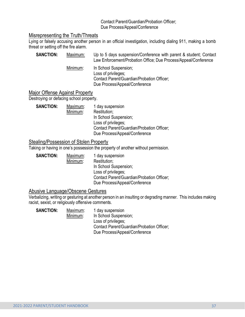#### Contact Parent/Guardian/Probation Officer; Due Process/Appeal/Conference

#### Misrepresenting the Truth/Threats

Lying or falsely accusing another person in an official investigation, including dialing 911, making a bomb threat or setting off the fire alarm.

| <b>SANCTION:</b> | Maximum: | Up to 5 days suspension/Conference with parent & student; Contact<br>Law Enforcement/Probation Office; Due Process/Appeal/Conference |
|------------------|----------|--------------------------------------------------------------------------------------------------------------------------------------|
|                  | Minimum: | In School Suspension;<br>Loss of privileges;<br>Contact Parent/Guardian/Probation Officer;<br>Due Process/Appeal/Conference          |

#### Major Offense Against Property

Destroying or defacing school property.

| <b>SANCTION:</b> | Maximum: | 1 day suspension                           |
|------------------|----------|--------------------------------------------|
|                  | Minimum: | Restitution;                               |
|                  |          | In School Suspension;                      |
|                  |          | Loss of privileges;                        |
|                  |          | Contact Parent/Guardian/Probation Officer; |
|                  |          | Due Process/Appeal/Conference              |

#### Stealing/Possession of Stolen Property

Taking or having in one's possession the property of another without permission.

| Maximum: | 1 day suspension                                                            |
|----------|-----------------------------------------------------------------------------|
| Minimum: | Restitution;                                                                |
|          | In School Suspension;                                                       |
|          | Loss of privileges;                                                         |
|          | Contact Parent/Guardian/Probation Officer;<br>Due Process/Appeal/Conference |
|          |                                                                             |

#### Abusive Language/Obscene Gestures

Verbalizing, writing or gesturing at another person in an insulting or degrading manner. This includes making racist, sexist, or religiously offensive comments.

| <b>SANCTION:</b> | Maximum: | 1 day suspension                           |
|------------------|----------|--------------------------------------------|
|                  | Minimum: | In School Suspension;                      |
|                  |          | Loss of privileges;                        |
|                  |          | Contact Parent/Guardian/Probation Officer; |
|                  |          | Due Process/Appeal/Conference              |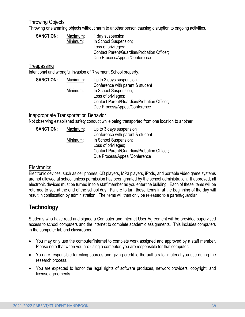#### Throwing Objects

Throwing or slamming objects without harm to another person causing disruption to ongoing activities.

| <b>SANCTION:</b> | Maximum: | 1 day suspension                           |
|------------------|----------|--------------------------------------------|
|                  | Minimum: | In School Suspension;                      |
|                  |          | Loss of privileges;                        |
|                  |          | Contact Parent/Guardian/Probation Officer; |
|                  |          | Due Process/Appeal/Conference              |

#### **Trespassing**

Intentional and wrongful invasion of Rivermont School property.

| <b>SANCTION:</b> | Maximum: | Up to 3 days suspension                    |
|------------------|----------|--------------------------------------------|
|                  |          | Conference with parent & student           |
|                  | Minimum: | In School Suspension;                      |
|                  |          | Loss of privileges;                        |
|                  |          | Contact Parent/Guardian/Probation Officer; |
|                  |          | Due Process/Appeal/Conference              |

#### Inappropriate Transportation Behavior

Not observing established safety conduct while being transported from one location to another.

| <b>SANCTION:</b> | Maximum: | Up to 3 days suspension                    |
|------------------|----------|--------------------------------------------|
|                  |          | Conference with parent & student           |
|                  | Minimum: | In School Suspension;                      |
|                  |          | Loss of privileges;                        |
|                  |          | Contact Parent/Guardian/Probation Officer; |
|                  |          | Due Process/Appeal/Conference              |

#### Electronics

Electronic devices, such as cell phones, CD players, MP3 players, iPods, and portable video game systems are not allowed at school unless permission has been granted by the school administration. If approved, all electronic devices must be turned in to a staff member as you enter the building. Each of these items will be returned to you at the end of the school day. Failure to turn these items in at the beginning of the day will result in confiscation by administration. The items will then only be released to a parent/guardian.

## **Technology**

Students who have read and signed a Computer and Internet User Agreement will be provided supervised access to school computers and the internet to complete academic assignments. This includes computers in the computer lab and classrooms.

- You may only use the computer/Internet to complete work assigned and approved by a staff member. Please note that when you are using a computer, you are responsible for that computer.
- You are responsible for citing sources and giving credit to the authors for material you use during the research process.
- You are expected to honor the legal rights of software produces, network providers, copyright, and license agreements.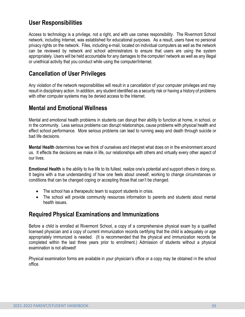# **User Responsibilities**

Access to technology is a privilege, not a right, and with use comes responsibility. The Rivermont School network, including Internet, was established for educational purposes. As a result, users have no personal privacy rights on the network. Files, including e-mail, located on individual computers as well as the network can be reviewed by network and school administrators to ensure that users are using the system appropriately. Users will be held accountable for any damages to the computer/ network as well as any illegal or unethical activity that you conduct while using the computer/Internet.

## **Cancellation of User Privileges**

Any violation of the network responsibilities will result in a cancellation of your computer privileges and may result in disciplinary action. In addition, any student identified as a security risk or having a history of problems with other computer systems may be denied access to the Internet.

## **Mental and Emotional Wellness**

Mental and emotional health problems in students can disrupt their ability to function at home, in school, or in the community. Less serious problems can disrupt relationships, cause problems with physical health and effect school performance. More serious problems can lead to running away and death through suicide or bad life decisions.

**Mental Health** determines how we think of ourselves and interpret what does on in the environment around us. It effects the decisions we make in life, our relationships with others and virtually every other aspect of our lives.

**Emotional Health** is the ability to live life to its fullest, realize one's potential and support others in doing so. It begins with a true understanding of how one feels about oneself, working to change circumstances or conditions that can be changed coping or accepting those that can't be changed.

- The school has a therapeutic team to support students in crisis.
- The school will provide community resources information to parents and students about mental health issues.

## **Required Physical Examinations and Immunizations**

Before a child is enrolled at Rivermont School, a copy of a comprehensive physical exam by a qualified licensed physician and a copy of current immunization records certifying that the child is adequately or age appropriately immunized is needed. (It is recommended that the physical and immunization records be completed within the last three years prior to enrollment.) Admission of students without a physical examination is not allowed!

Physical examination forms are available in your physician's office or a copy may be obtained in the school office.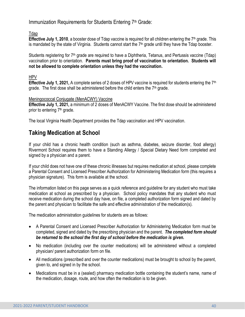Immunization Requirements for Students Entering 7<sup>th</sup> Grade:

Tdap

**Effective July 1, 2010**, a booster dose of Tdap vaccine is required for all children entering the 7<sup>th</sup> grade. This is mandated by the state of Virginia. Students cannot start the  $7<sup>th</sup>$  grade until they have the Tdap booster.

Students registering for 7<sup>th</sup> grade are required to have a Diphtheria, Tetanus, and Pertussis vaccine (Tdap) vaccination prior to orientation. **Parents must bring proof of vaccination to orientation. Students will not be allowed to complete orientation unless they had the vaccination.**

HPV

**Effective July 1, 2021,** A complete series of 2 doses of HPV vaccine is required for students entering the 7th grade. The first dose shall be administered before the child enters the  $7<sup>th</sup>$  grade.

#### Meningococcal Conjugate (MenACWY) Vaccine

**Effective July 1, 2021,** a minimum of 2 doses of MenACWY Vaccine. The first dose should be administered prior to entering 7<sup>th</sup> grade.

The local Virginia Health Department provides the Tdap vaccination and HPV vaccination.

# **Taking Medication at School**

If your child has a chronic health condition (such as asthma, diabetes, seizure disorder, food allergy) Rivermont School requires them to have a Standing Allergy / Special Dietary Need form completed and signed by a physician and a parent.

If your child does not have one of these chronic illnesses but requires medication at school, please complete a Parental Consent and Licensed Prescriber Authorization for Administering Medication form (this requires a physician signature). This form is available at the school.

The information listed on this page serves as a quick reference and guideline for any student who must take medication at school as prescribed by a physician. School policy mandates that any student who must receive medication during the school day have, on file, a completed authorization form signed and dated by the parent and physician to facilitate the safe and effective administration of the medication(s).

The medication administration guidelines for students are as follows:

- A Parental Consent and Licensed Prescriber Authorization for Administering Medication form must be completed, signed and dated by the prescribing physician and the parent. *The completed form should be returned to the school the first day of school before the medication is given.*
- No medication (including over the counter medications) will be administered without a completed physician/ parent authorization form on file.
- All medications (prescribed and over the counter medications) must be brought to school by the parent, given to, and signed in by the school.
- Medications must be in a (sealed) pharmacy medication bottle containing the student's name, name of the medication, dosage, route, and how often the medication is to be given.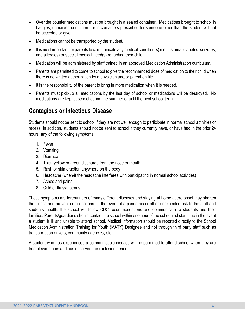- Over the counter medications must be brought in a sealed container. Medications brought to school in baggies, unmarked containers, or in containers prescribed for someone other than the student will not be accepted or given.
- Medications cannot be transported by the student.
- It is most important for parents to communicate any medical condition(s) (i.e., asthma, diabetes, seizures, and allergies) or special medical need(s) regarding their child.
- Medication will be administered by staff trained in an approved Medication Administration curriculum.
- Parents are permitted to come to school to give the recommended dose of medication to their child when there is no written authorization by a physician and/or parent on file.
- It is the responsibility of the parent to bring in more medication when it is needed.
- Parents must pick-up all medications by the last day of school or medications will be destroyed. No medications are kept at school during the summer or until the next school term.

# **Contagious or Infectious Disease**

Students should not be sent to school if they are not well enough to participate in normal school activities or recess. In addition, students should not be sent to school if they currently have, or have had in the prior 24 hours, any of the following symptoms:

- 1. Fever
- 2. Vomiting
- 3. Diarrhea
- 4. Thick yellow or green discharge from the nose or mouth
- 5. Rash or skin eruption anywhere on the body
- 6. Headache (when/if the headache interferes with participating in normal school activities)
- 7. Aches and pains
- 8. Cold or flu symptoms

These symptoms are forerunners of many different diseases and staying at home at the onset may shorten the illness and prevent complications. In the event of a pandemic or other unexpected risk to the staff and students' health, the school will follow CDC recommendations and communicate to students and their families. Parents/guardians should contact the school within one hour of the scheduled start time in the event a student is ill and unable to attend school. Medical information should be reported directly to the School Medication Administration Training for Youth (MATY) Designee and not through third party staff such as transportation drivers, community agencies, etc.

A student who has experienced a communicable disease will be permitted to attend school when they are free of symptoms and has observed the exclusion period.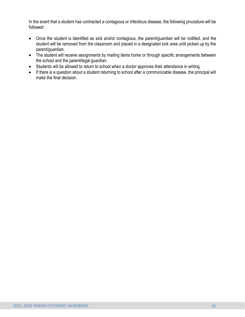In the event that a student has contracted a contagious or infectious disease, the following procedure will be followed:

- Once the student is identified as sick and/or contagious, the parent/guardian will be notified, and the student will be removed from the classroom and placed in a designated sick area until picked up by the parent/guardian.
- The student will receive assignments by mailing items home or through specific arrangements between the school and the parent/legal guardian.
- Students will be allowed to return to school when a doctor approves their attendance in writing.
- If there is a question about a student returning to school after a communicable disease, the principal will make the final decision.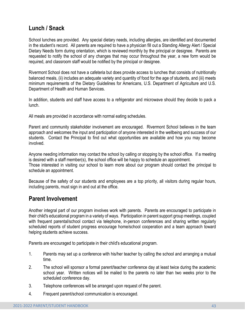# **Lunch / Snack**

School lunches are provided. Any special dietary needs, including allergies, are identified and documented in the student's record. All parents are required to have a physician fill out a Standing Allergy Alert / Special Dietary Needs form during orientation, which is reviewed monthly by the principal or designee. Parents are requested to notify the school of any changes that may occur throughout the year, a new form would be required, and classroom staff would be notified by the principal or designee.

Rivermont School does not have a cafeteria but does provide access to lunches that consists of nutritionally balanced meals, (ii) includes an adequate variety and quantity of food for the age of students, and (iii) meets minimum requirements of the Dietary Guidelines for Americans, U.S. Department of Agriculture and U.S. Department of Health and Human Services.

In addition, students and staff have access to a refrigerator and microwave should they decide to pack a lunch.

All meals are provided in accordance with normal eating schedules.

Parent and community stakeholder involvement are encouraged. Rivermont School believes in the team approach and welcomes the input and participation of anyone interested in the wellbeing and success of our students. Contact the Principal to find out what opportunities are available and how you may become involved.

Anyone needing information may contact the school by calling or stopping by the school office. If a meeting is desired with a staff member(s), the school office will be happy to schedule an appointment. Those interested in visiting our school to learn more about our program should contact the principal to schedule an appointment.

Because of the safety of our students and employees are a top priority, all visitors during regular hours, including parents, must sign in and out at the office.

## **Parent Involvement**

Another integral part of our program involves work with parents. Parents are encouraged to participate in their child's educational program in a variety of ways. Participation in parent support group meetings, coupled with frequent parental/school contact via telephone, in-person conferences and sharing written regularly scheduled reports of student progress encourage home/school cooperation and a team approach toward helping students achieve success.

Parents are encouraged to participate in their child's educational program.

- 1. Parents may set up a conference with his/her teacher by calling the school and arranging a mutual time.
- 2. The school will sponsor a formal parent/teacher conference day at least twice during the academic school year. Written notices will be mailed to the parents no later than two weeks prior to the scheduled conference day.
- 3. Telephone conferences will be arranged upon request of the parent.
- 4. Frequent parent/school communication is encouraged.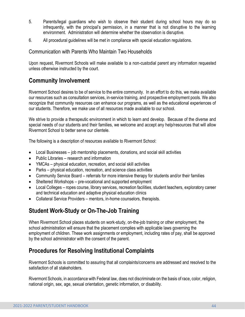- 5. Parents/legal guardians who wish to observe their student during school hours may do so infrequently, with the principal's permission, in a manner that is not disruptive to the learning environment. Administration will determine whether the observation is disruptive.
- 6. All procedural guidelines will be met in compliance with special education regulations.

Communication with Parents Who Maintain Two Households

Upon request, Rivermont Schools will make available to a non-custodial parent any information requested unless otherwise instructed by the court.

# **Community Involvement**

Rivermont School desires to be of service to the entire community. In an effort to do this, we make available our resources such as consultation services, in-service training, and prospective employment pools. We also recognize that community resources can enhance our programs, as well as the educational experiences of our students. Therefore, we make use of all resources made available to our school.

We strive to provide a therapeutic environment in which to learn and develop. Because of the diverse and special needs of our students and their families, we welcome and accept any help/resources that will allow Rivermont School to better serve our clientele.

The following is a description of resources available to Rivermont School:

- Local Businesses job mentorship placements, donations, and social skill activities
- Public Libraries research and information
- YMCAs physical education, recreation, and social skill activities
- Parks physical education, recreation, and science class activities
- Community Service Board referrals for more intensive therapy for students and/or their families
- Sheltered Workshops pre-vocational and supported employment
- Local Colleges ropes course, library services, recreation facilities, student teachers, exploratory career and technical education and adaptive physical education clinics
- Collateral Service Providers mentors, in-home counselors, therapists.

# **Student Work-Study or On-The-Job Training**

When Rivermont School places students on work-study, on-the-job training or other employment, the school administration will ensure that the placement complies with applicable laws governing the employment of children. These work assignments or employment, including rates of pay, shall be approved by the school administrator with the consent of the parent.

# **Procedures for Resolving Institutional Complaints**

Rivermont Schools is committed to assuring that all complaints/concerns are addressed and resolved to the satisfaction of all stakeholders.

Rivermont Schools, in accordance with Federal law, does not discriminate on the basis of race, color, religion, national origin, sex, age, sexual orientation, genetic information, or disability.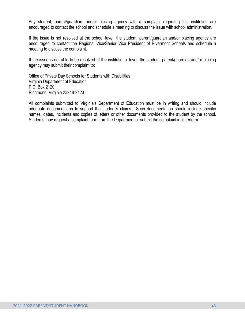Any student, parent/guardian, and/or placing agency with a complaint regarding this institution are encouraged to contact the school and schedule a meeting to discuss the issue with school administration.

If the issue is not resolved at the school level, the student, parent/guardian and/or placing agency are encouraged to contact the Regional Vice/Senior Vice President of Rivermont Schools and schedule a meeting to discuss the complaint.

If the issue is not able to be resolved at the institutional level, the student, parent/guardian and/or placing agency may submit their complaint to:

Office of Private Day Schools for Students with Disabilities Virginia Department of Education P.O. Box 2120 Richmond, Virginia 23218-2120

All complaints submitted to Virginia's Department of Education must be in writing and should include adequate documentation to support the student's claims. Such documentation should include specific names, dates, incidents and copies of letters or other documents provided to the student by the school. Students may request a complaint form from the Department or submit the complaint in letterform.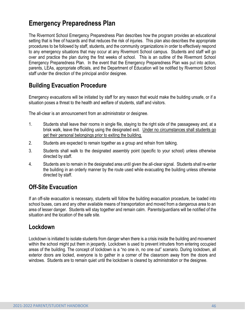# **Emergency Preparedness Plan**

The Rivermont School Emergency Preparedness Plan describes how the program provides an educational setting that is free of hazards and that reduces the risk of injuries. This plan also describes the appropriate procedures to be followed by staff, students, and the community organizations in order to effectively respond to any emergency situations that may occur at any Rivermont School campus. Students and staff will go over and practice the plan during the first weeks of school. This is an outline of the Rivermont School Emergency Preparedness Plan. In the event that the Emergency Preparedness Plan was put into action, parents, LEAs, appropriate officials, and the Department of Education will be notified by Rivermont School staff under the direction of the principal and/or designee.

# **Building Evacuation Procedure**

Emergency evacuations will be initiated by staff for any reason that would make the building unsafe, or if a situation poses a threat to the health and welfare of students, staff and visitors.

The all-clear is an announcement from an administrator or designee.

- 1. Students shall leave their rooms in single file, staying to the right side of the passageway and, at a brisk walk, leave the building using the designated exit. Under no circumstances shall students go get their personal belongings prior to exiting the building.
- 2. Students are expected to remain together as a group and refrain from talking.
- 3. Students shall walk to the designated assembly point (specific to your school) unless otherwise directed by staff.
- 4. Students are to remain in the designated area until given the all-clear signal. Students shall re-enter the building in an orderly manner by the route used while evacuating the building unless otherwise directed by staff.

# **Off-Site Evacuation**

If an off-site evacuation is necessary, students will follow the building evacuation procedure, be loaded into school buses, cars and any other available means of transportation and moved from a dangerous area to an area of lesser danger. Students will stay together and remain calm. Parents/guardians will be notified of the situation and the location of the safe site.

## **Lockdown**

Lockdown is initiated to isolate students from danger when there is a crisis inside the building and movement within the school might put them in jeopardy. Lockdown is used to prevent intruders from entering occupied areas of the building. The concept of lockdown is a "no one in, no one out" scenario. During lockdown, all exterior doors are locked, everyone is to gather in a corner of the classroom away from the doors and windows. Students are to remain quiet until the lockdown is cleared by administration or the designee.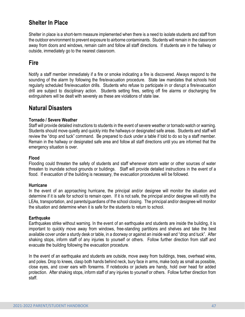# **Shelter In Place**

Shelter in place is a short-term measure implemented when there is a need to isolate students and staff from the outdoor environment to prevent exposure to airborne contaminants. Students will remain in the classroom away from doors and windows, remain calm and follow all staff directions. If students are in the hallway or outside, immediately go to the nearest classroom.

## **Fire**

Notify a staff member immediately if a fire or smoke indicating a fire is discovered. Always respond to the sounding of the alarm by following the fire/evacuation procedure. State law mandates that schools hold regularly scheduled fire/evacuation drills. Students who refuse to participate in or disrupt a fire/evacuation drill are subject to disciplinary action. Students setting fires, setting off fire alarms or discharging fire extinguishers will be dealt with severely as these are violations of state law.

## **Natural Disasters**

#### **Tornado / Severe Weather**

Staff will provide detailed instructions to students in the event of severe weather or tornado watch or warning. Students should move quietly and quickly into the hallways or designated safe areas. Students and staff will review the "drop and tuck" command. Be prepared to duck under a table if told to do so by a staff member. Remain in the hallway or designated safe area and follow all staff directions until you are informed that the emergency situation is over.

#### **Flood**

Flooding could threaten the safety of students and staff whenever storm water or other sources of water threaten to inundate school grounds or buildings. Staff will provide detailed instructions in the event of a flood. If evacuation of the building is necessary, the evacuation procedures will be followed.

#### **Hurricane**

In the event of an approaching hurricane, the principal and/or designee will monitor the situation and determine if it is safe for school to remain open. If it is not safe, the principal and/or designee will notify the LEAs, transportation, and parents/guardians of the school closing. The principal and/or designee will monitor the situation and determine when it is safe for the students to return to school.

#### **Earthquake**

Earthquakes strike without warning. In the event of an earthquake and students are inside the building, it is important to quickly move away from windows, free-standing partitions and shelves and take the best available cover under a sturdy desk or table, in a doorway or against an inside wall and "drop and tuck". After shaking stops, inform staff of any injuries to yourself or others. Follow further direction from staff and evacuate the building following the evacuation procedure.

In the event of an earthquake and students are outside, move away from buildings, trees, overhead wires, and poles. Drop to knees, clasp both hands behind neck, bury face in arms, make body as small as possible, close eyes, and cover ears with forearms. If notebooks or jackets are handy, hold over head for added protection. After shaking stops, inform staff of any injuries to yourself or others. Follow further direction from staff.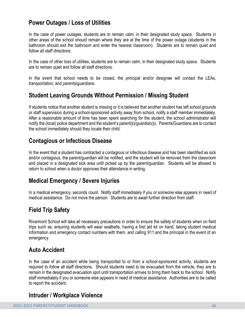## **Power Outages / Loss of Utilities**

In the case of power outages, students are to remain calm, in their designated study space. Students in other areas of the school should remain where they are at the time of the power outage (students in the bathroom should exit the bathroom and enter the nearest classroom). Students are to remain quiet and follow all staff directions.

In the case of other loss of utilities, students are to remain calm, in their designated study space. Students are to remain quiet and follow all staff directions.

In the event that school needs to be closed, the principal and/or designee will contact the LEAs, transportation, and parents/guardians.

## **Student Leaving Grounds Without Permission / Missing Student**

If students notice that another student is missing or it is believed that another student has left school grounds or staff supervision during a school-sponsored activity away from school, notify a staff member immediately. After a reasonable amount of time has been spent searching for the student, the school administrator will notify the (local) police department and the student's parent(s)/guardian(s). Parents/Guardians are to contact the school immediately should they locate their child.

## **Contagious or Infectious Disease**

In the event that a student has contracted a contagious or infectious disease and has been identified as sick and/or contagious, the parent/guardian will be notified, and the student will be removed from the classroom and placed in a designated sick area until picked up by the parent/guardian. Students will be allowed to return to school when a doctor approves their attendance in writing.

## **Medical Emergency / Severe Injuries**

In a medical emergency, seconds count. Notify staff immediately if you or someone else appears in need of medical assistance. Do not move the person. Students are to await further direction from staff.

# **Field Trip Safety**

Rivermont School will take all necessary precautions in order to ensure the safety of students when on field trips such as, ensuring students will wear seatbelts, having a first aid kit on hand, taking student medical information and emergency contact numbers with them, and calling 911 and the principal in the event of an emergency.

## **Auto Accident**

In the case of an accident while being transported to or from a school-sponsored activity, students are required to follow all staff directions. Should students need to be evacuated from the vehicle, they are to remain in the designated evacuation spot until transportation arrives to bring them back to the school. Notify staff immediately if you or someone else appears in need of medical assistance. Authorities are to be called to report the accident.

## **Intruder / Workplace Violence**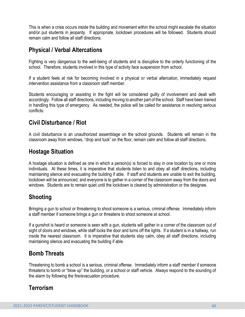This is when a crisis occurs inside the building and movement within the school might escalate the situation and/or put students in jeopardy. If appropriate, lockdown procedures will be followed. Students should remain calm and follow all staff directions.

## **Physical / Verbal Altercations**

Fighting is very dangerous to the well-being of students and is disruptive to the orderly functioning of the school. Therefore, students involved in this type of activity face suspension from school.

If a student feels at risk for becoming involved in a physical or verbal altercation, immediately request intervention assistance from a classroom staff member.

Students encouraging or assisting in the fight will be considered guilty of involvement and dealt with accordingly. Follow all staff directions, including moving to another part of the school. Staff have been trained in handling this type of emergency. As needed, the police will be called for assistance in resolving serious conflicts.

# **Civil Disturbance / Riot**

A civil disturbance is an unauthorized assemblage on the school grounds. Students will remain in the classroom away from windows, "drop and tuck" on the floor, remain calm and follow all staff directions.

# **Hostage Situation**

A hostage situation is defined as one in which a person(s) is forced to stay in one location by one or more individuals. At these times, it is imperative that students listen to and obey all staff directions, including maintaining silence and evacuating the building if able. If staff and students are unable to exit the building, lockdown will be announced, and everyone is to gather in a corner of the classroom away from the doors and windows. Students are to remain quiet until the lockdown is cleared by administration or the designee.

# **Shooting**

Bringing a gun to school or threatening to shoot someone is a serious, criminal offense. Immediately inform a staff member if someone brings a gun or threatens to shoot someone at school.

If a gunshot is heard or someone is seen with a gun, students will gather in a corner of the classroom out of sight of doors and windows, while staff locks the door and turns off the lights. If a student is in a hallway, run inside the nearest classroom. It is imperative that students stay calm, obey all staff directions, including maintaining silence and evacuating the building if able.

## **Bomb Threats**

Threatening to bomb a school is a serious, criminal offense. Immediately inform a staff member if someone threatens to bomb or "blow up" the building, or a school or staff vehicle. Always respond to the sounding of the alarm by following the fire/evacuation procedure.

# **Terrorism**